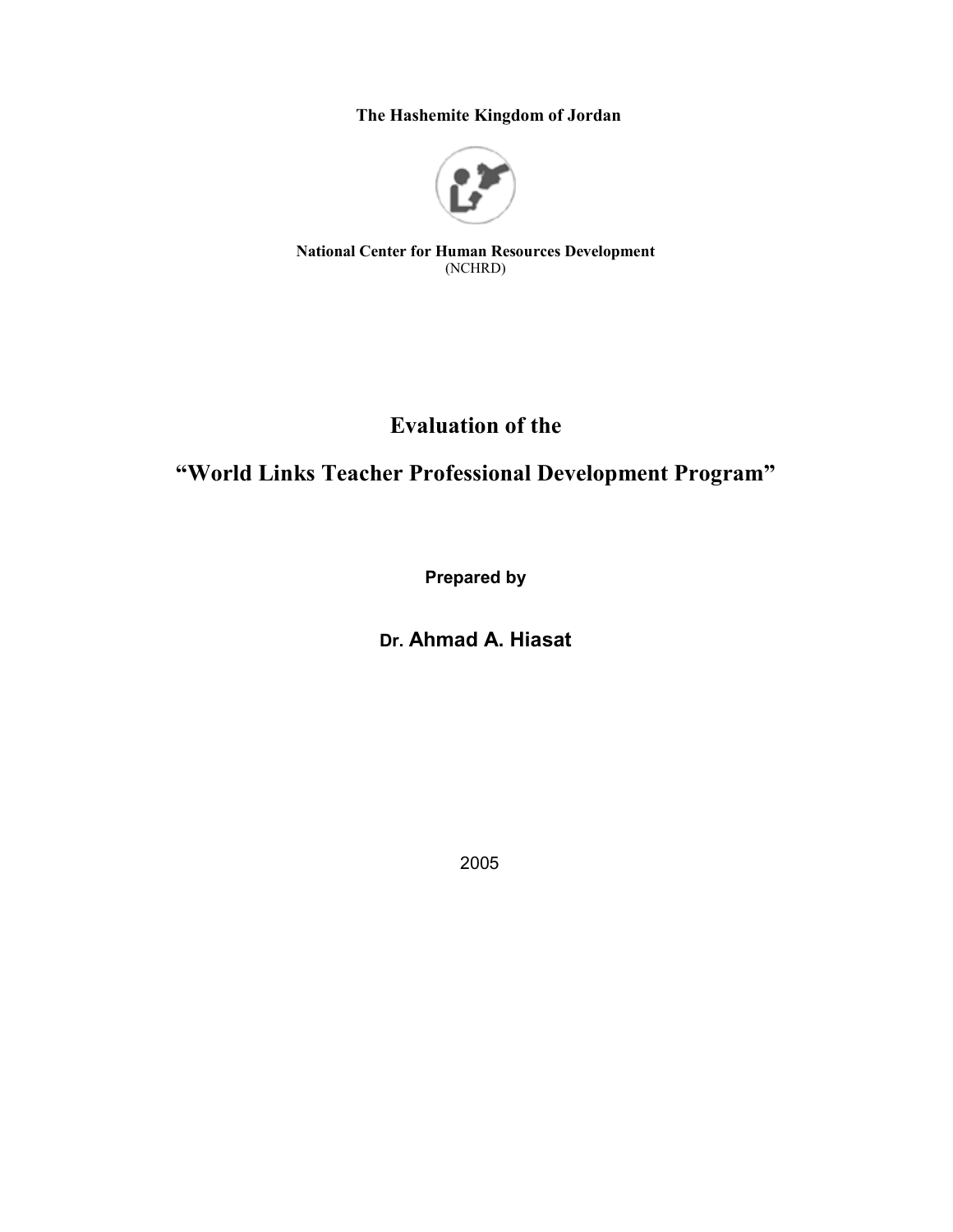The Hashemite Kingdom of Jordan



**National Center for Human Resources Development** (NCHRD)

# **Evaluation of the**

# "World Links Teacher Professional Development Program"

**Prepared by** 

# Dr. Ahmad A. Hiasat

2005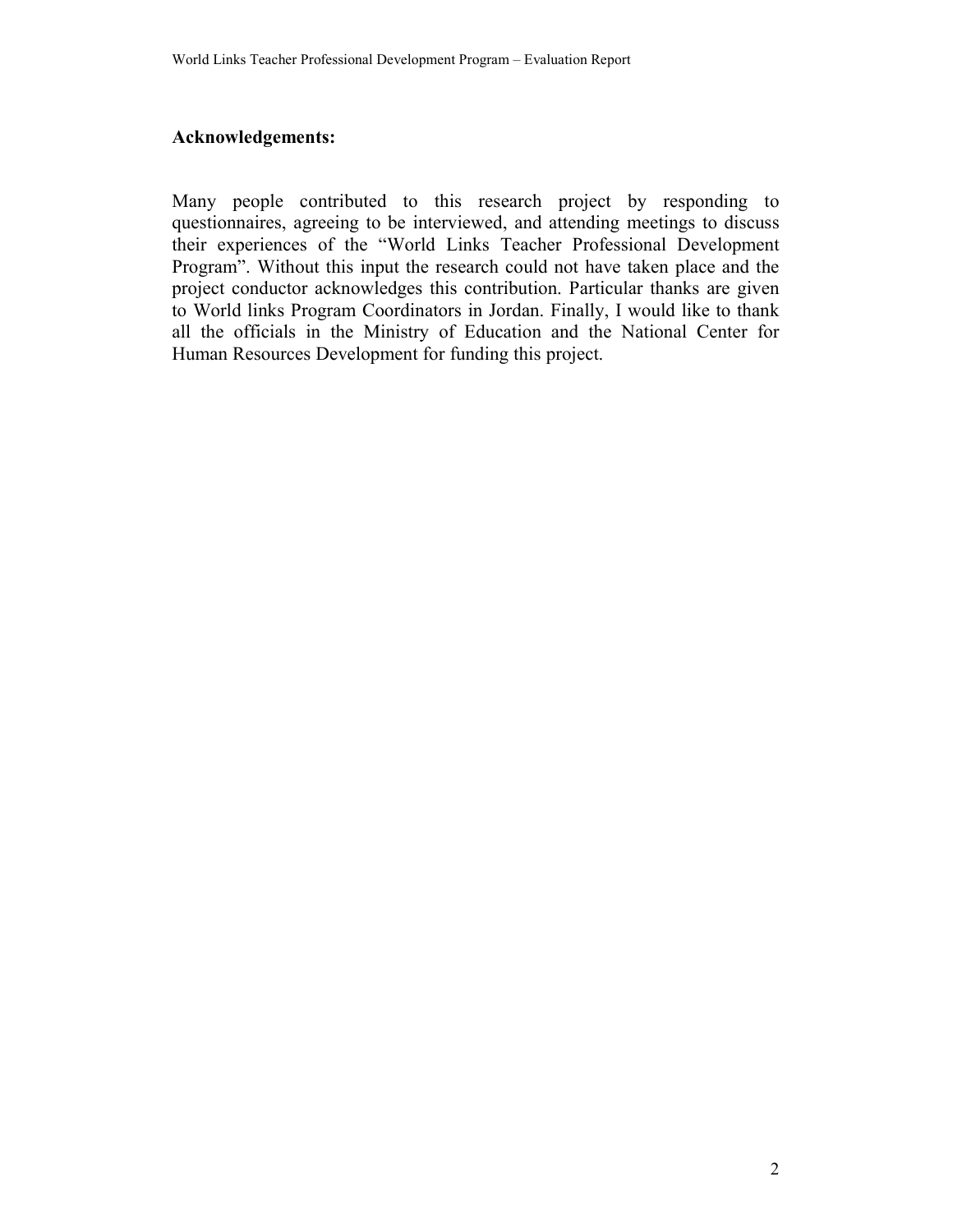### **Acknowledgements:**

Many people contributed to this research project by responding to questionnaires, agreeing to be interviewed, and attending meetings to discuss their experiences of the "World Links Teacher Professional Development Program". Without this input the research could not have taken place and the project conductor acknowledges this contribution. Particular thanks are given to World links Program Coordinators in Jordan. Finally, I would like to thank all the officials in the Ministry of Education and the National Center for Human Resources Development for funding this project.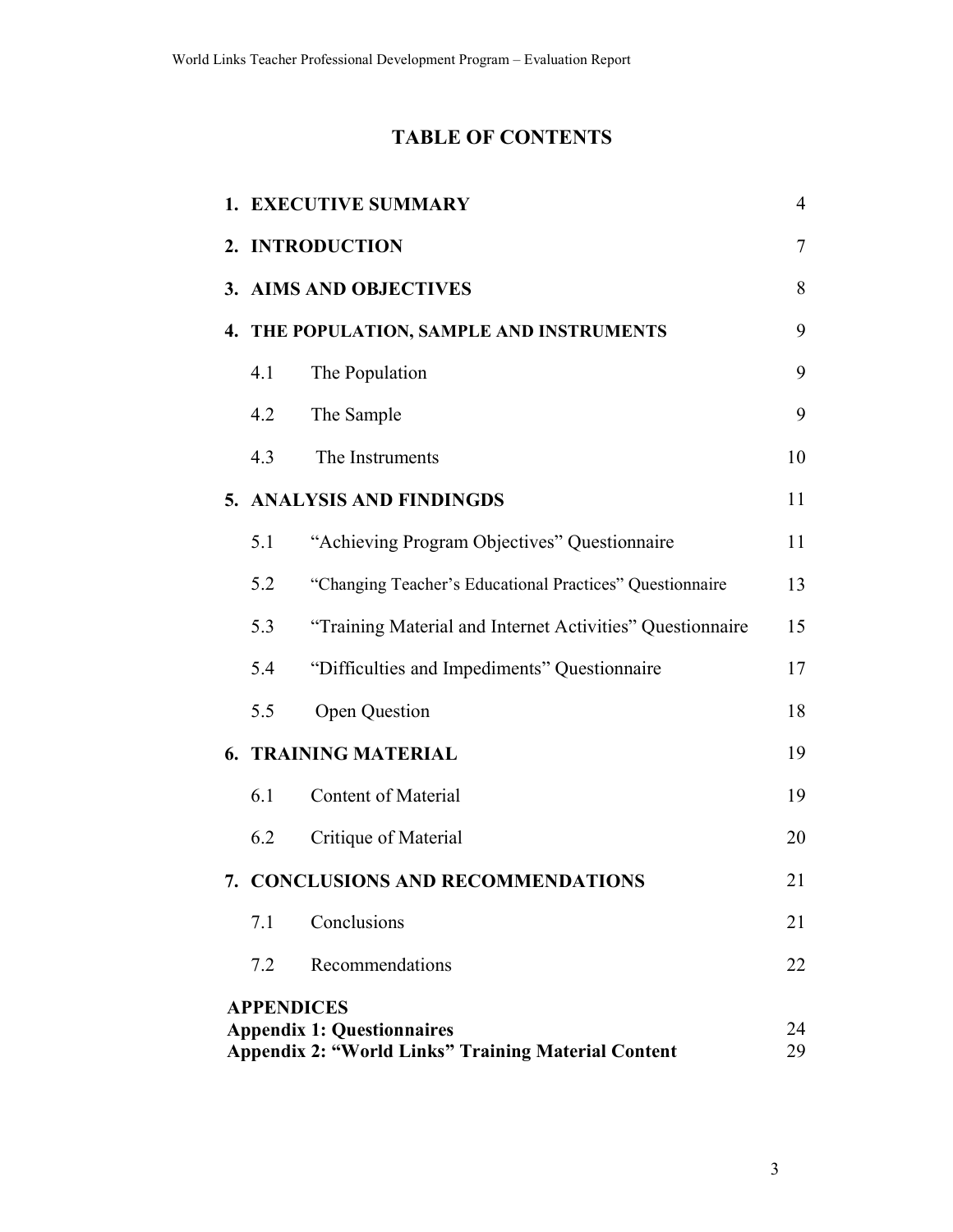# **TABLE OF CONTENTS**

|                                                                                                                                  |                           | 1. EXECUTIVE SUMMARY                                      | $\overline{4}$ |  |  |  |  |  |
|----------------------------------------------------------------------------------------------------------------------------------|---------------------------|-----------------------------------------------------------|----------------|--|--|--|--|--|
|                                                                                                                                  | $\tau$<br>2. INTRODUCTION |                                                           |                |  |  |  |  |  |
|                                                                                                                                  |                           | 3. AIMS AND OBJECTIVES                                    | 8              |  |  |  |  |  |
|                                                                                                                                  |                           | 4. THE POPULATION, SAMPLE AND INSTRUMENTS                 | 9              |  |  |  |  |  |
|                                                                                                                                  | 4.1                       | The Population                                            | 9              |  |  |  |  |  |
|                                                                                                                                  | 4.2                       | The Sample                                                | 9              |  |  |  |  |  |
|                                                                                                                                  | 4.3                       | The Instruments                                           | 10             |  |  |  |  |  |
|                                                                                                                                  |                           | 5. ANALYSIS AND FINDINGDS                                 | 11             |  |  |  |  |  |
|                                                                                                                                  | 5.1                       | "Achieving Program Objectives" Questionnaire              | 11             |  |  |  |  |  |
|                                                                                                                                  | 5.2                       | "Changing Teacher's Educational Practices" Questionnaire  | 13             |  |  |  |  |  |
|                                                                                                                                  | 5.3                       | "Training Material and Internet Activities" Questionnaire | 15             |  |  |  |  |  |
|                                                                                                                                  | 5.4                       | "Difficulties and Impediments" Questionnaire              | 17             |  |  |  |  |  |
|                                                                                                                                  | 5.5                       | <b>Open Question</b>                                      | 18             |  |  |  |  |  |
|                                                                                                                                  |                           | <b>6. TRAINING MATERIAL</b>                               | 19             |  |  |  |  |  |
|                                                                                                                                  | 6.1                       | <b>Content of Material</b>                                | 19             |  |  |  |  |  |
|                                                                                                                                  | 6.2                       | Critique of Material                                      | 20             |  |  |  |  |  |
|                                                                                                                                  |                           | 7. CONCLUSIONS AND RECOMMENDATIONS                        | 21             |  |  |  |  |  |
|                                                                                                                                  | 7.1                       | Conclusions                                               | 21             |  |  |  |  |  |
|                                                                                                                                  | 7.2                       | Recommendations                                           | 22             |  |  |  |  |  |
| <b>APPENDICES</b><br><b>Appendix 1: Questionnaires</b><br>24<br><b>Appendix 2: "World Links" Training Material Content</b><br>29 |                           |                                                           |                |  |  |  |  |  |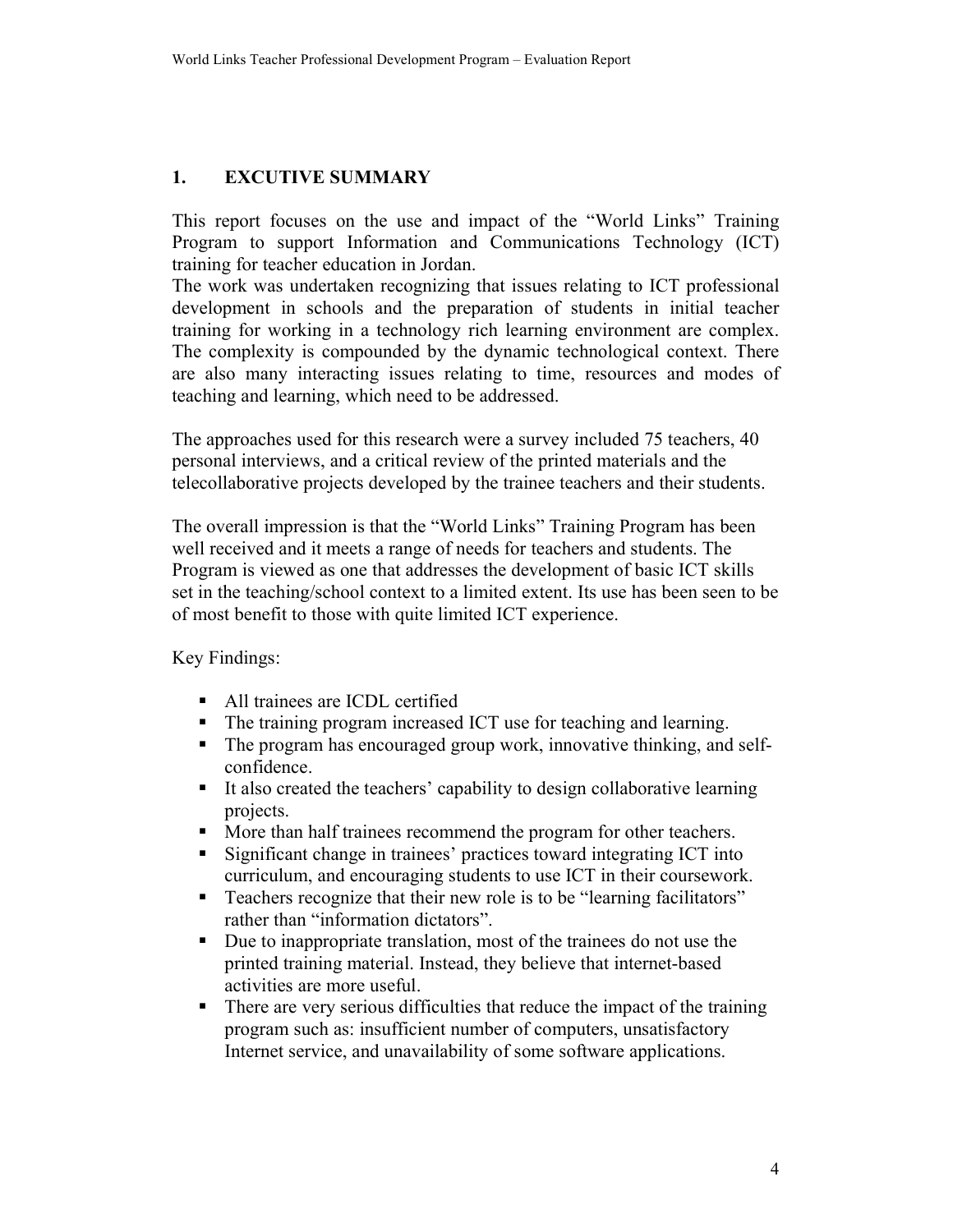#### $1<sub>1</sub>$ **EXCUTIVE SUMMARY**

This report focuses on the use and impact of the "World Links" Training Program to support Information and Communications Technology (ICT) training for teacher education in Jordan.

The work was undertaken recognizing that issues relating to ICT professional development in schools and the preparation of students in initial teacher training for working in a technology rich learning environment are complex. The complexity is compounded by the dynamic technological context. There are also many interacting issues relating to time, resources and modes of teaching and learning, which need to be addressed.

The approaches used for this research were a survey included 75 teachers, 40 personal interviews, and a critical review of the printed materials and the telecollaborative projects developed by the trainee teachers and their students.

The overall impression is that the "World Links" Training Program has been well received and it meets a range of needs for teachers and students. The Program is viewed as one that addresses the development of basic ICT skills set in the teaching/school context to a limited extent. Its use has been seen to be of most benefit to those with quite limited ICT experience.

Key Findings:

- All trainees are ICDL certified
- The training program increased ICT use for teaching and learning.
- The program has encouraged group work, innovative thinking, and selfconfidence.
- $\blacksquare$  . It also created the teachers' capability to design collaborative learning projects.
- More than half trainees recommend the program for other teachers.  $\blacksquare$  .
- Significant change in trainees' practices toward integrating ICT into  $\mathbf{E}^{(1)}$ curriculum, and encouraging students to use ICT in their coursework.
- Teachers recognize that their new role is to be "learning facilitators" rather than "information dictators".
- Due to inappropriate translation, most of the trainees do not use the  $\mathbf{u}$  . printed training material. Instead, they believe that internet-based activities are more useful.
- There are very serious difficulties that reduce the impact of the training program such as: insufficient number of computers, unsatisfactory Internet service, and unavailability of some software applications.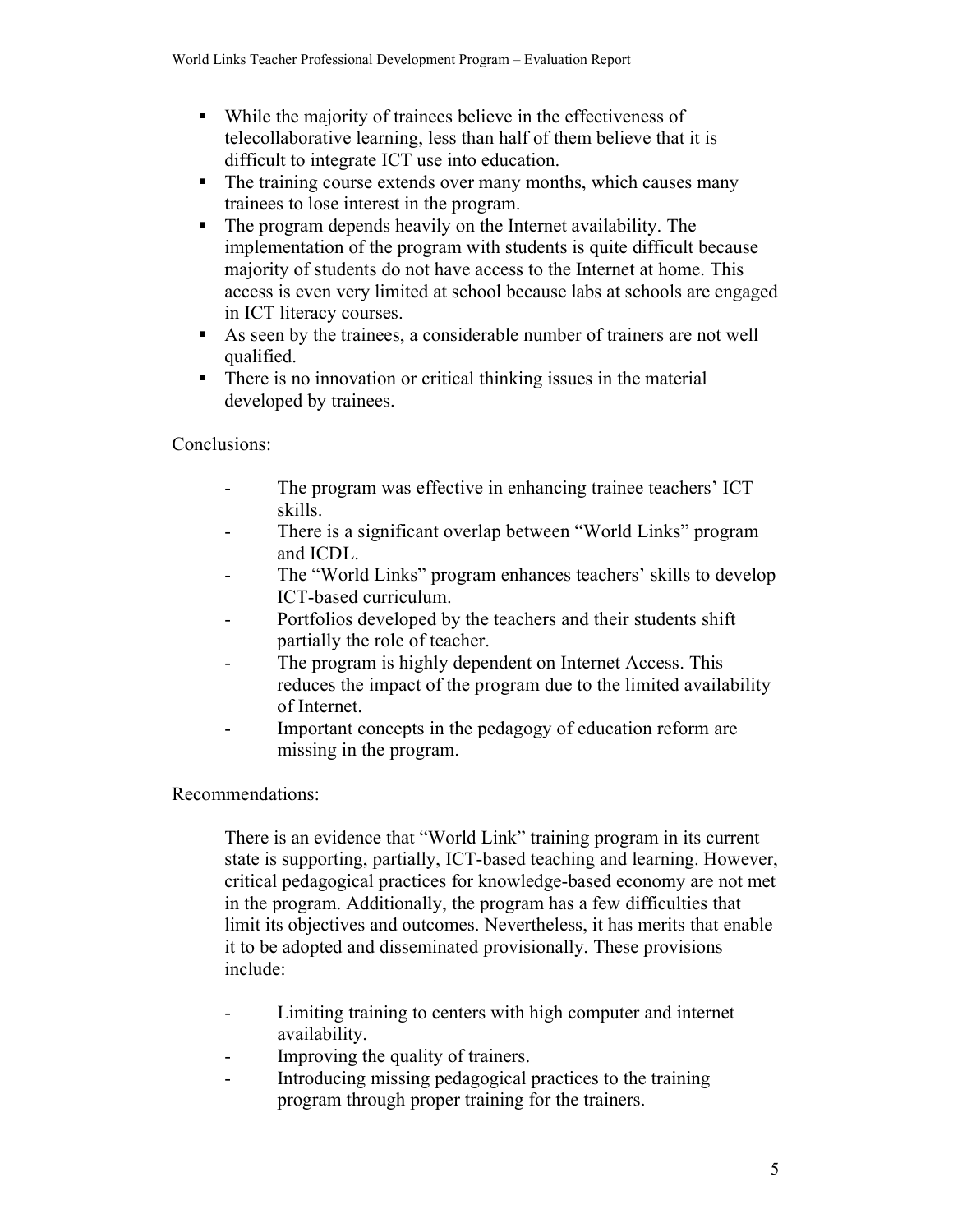- While the majority of trainees believe in the effectiveness of telecollaborative learning, less than half of them believe that it is difficult to integrate ICT use into education.
- The training course extends over many months, which causes many trainees to lose interest in the program.
- $\mathbf{u}$  . The program depends heavily on the Internet availability. The implementation of the program with students is quite difficult because majority of students do not have access to the Internet at home. This access is even very limited at school because labs at schools are engaged in ICT literacy courses.
- As seen by the trainees, a considerable number of trainers are not well qualified.
- $\mathbf{u}$  . There is no innovation or critical thinking issues in the material developed by trainees.

Conclusions:

- The program was effective in enhancing trainee teachers' ICT  $\blacksquare$ skills.
- There is a significant overlap between "World Links" program  $\mathbf{r}$ and ICDL.
- The "World Links" program enhances teachers' skills to develop ICT-based curriculum.
- Portfolios developed by the teachers and their students shift  $\sim$ partially the role of teacher.
- The program is highly dependent on Internet Access. This  $\mathbf{r}$ reduces the impact of the program due to the limited availability of Internet.
- Important concepts in the pedagogy of education reform are  $\blacksquare$ missing in the program.

Recommendations:

There is an evidence that "World Link" training program in its current state is supporting, partially, ICT-based teaching and learning. However, critical pedagogical practices for knowledge-based economy are not met in the program. Additionally, the program has a few difficulties that limit its objectives and outcomes. Nevertheless, it has merits that enable it to be adopted and disseminated provisionally. These provisions include:

- Limiting training to centers with high computer and internet  $\sim$ availability.
- Improving the quality of trainers.  $\mathbf{r}$
- Introducing missing pedagogical practices to the training  $\mathbf{r}$ program through proper training for the trainers.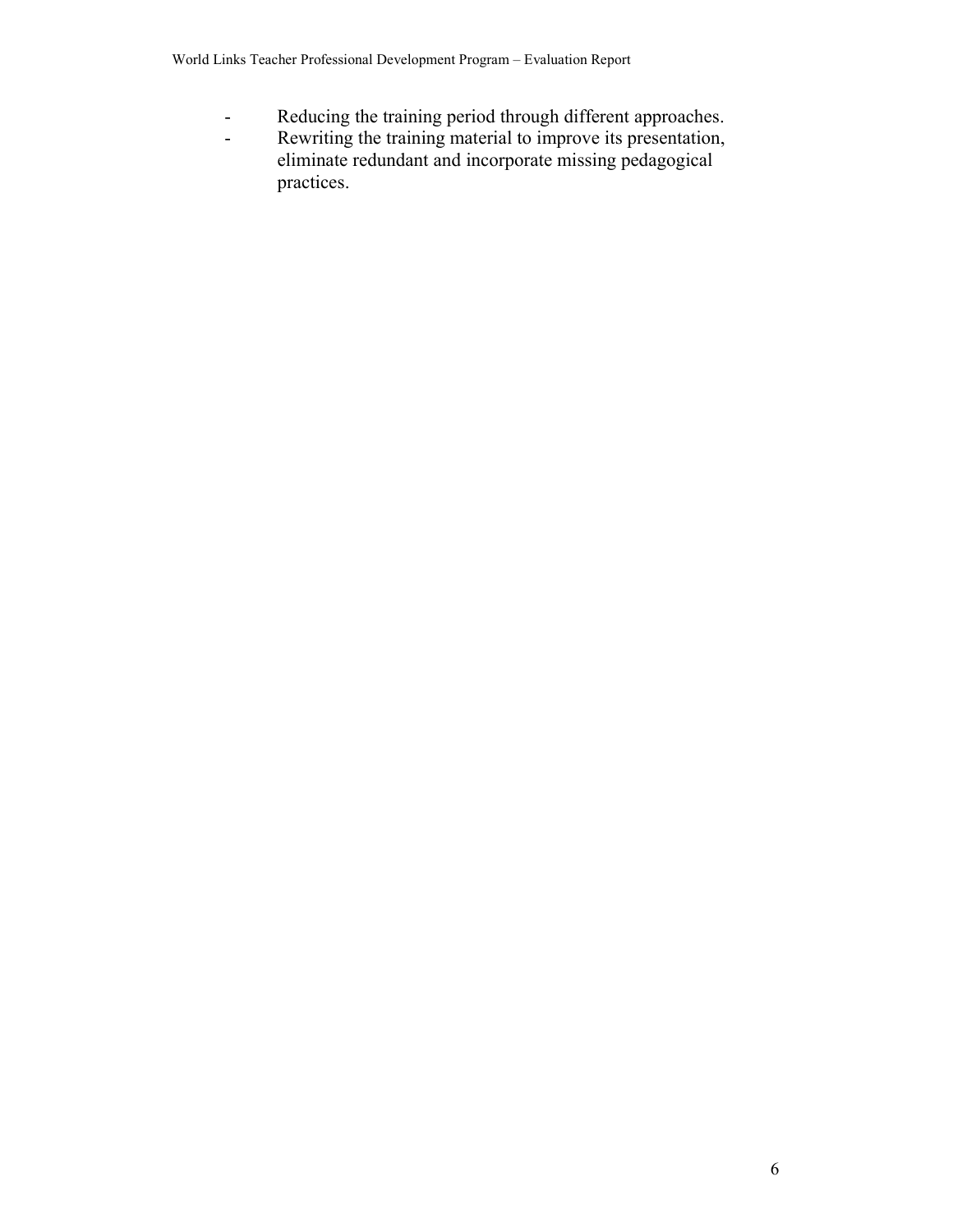- Reducing the training period through different approaches.  $\omega$
- Rewriting the training material to improve its presentation,  $\mathbb{Z}^{\mathbb{Z}}$ eliminate redundant and incorporate missing pedagogical practices.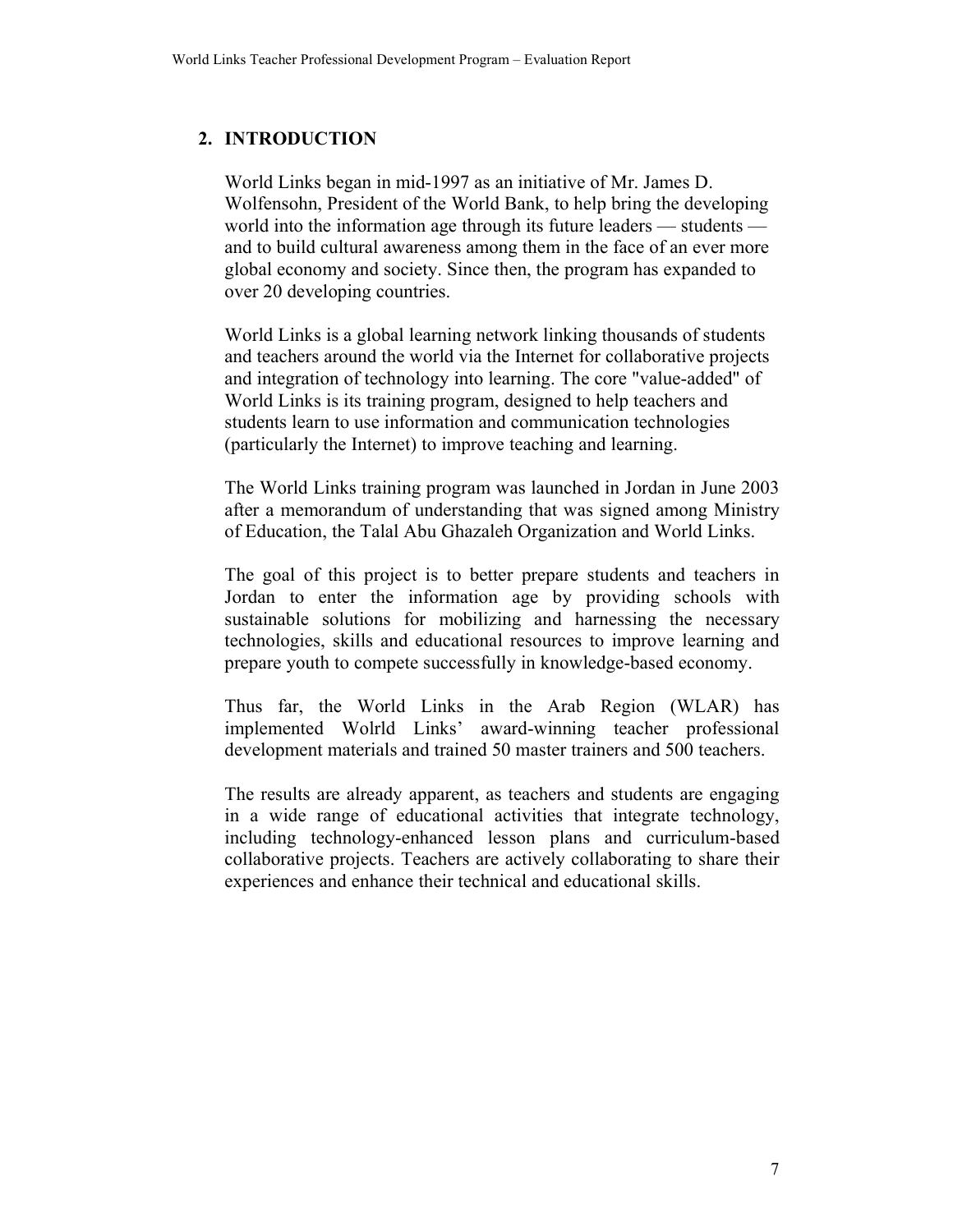## 2. INTRODUCTION

World Links began in mid-1997 as an initiative of Mr. James D. Wolfensohn, President of the World Bank, to help bring the developing world into the information age through its future leaders — students and to build cultural awareness among them in the face of an ever more global economy and society. Since then, the program has expanded to over 20 developing countries.

World Links is a global learning network linking thousands of students and teachers around the world via the Internet for collaborative projects and integration of technology into learning. The core "value-added" of World Links is its training program, designed to help teachers and students learn to use information and communication technologies (particularly the Internet) to improve teaching and learning.

The World Links training program was launched in Jordan in June 2003 after a memorandum of understanding that was signed among Ministry of Education, the Talal Abu Ghazaleh Organization and World Links.

The goal of this project is to better prepare students and teachers in Jordan to enter the information age by providing schools with sustainable solutions for mobilizing and harnessing the necessary technologies, skills and educational resources to improve learning and prepare youth to compete successfully in knowledge-based economy.

Thus far, the World Links in the Arab Region (WLAR) has implemented Wolrld Links' award-winning teacher professional development materials and trained 50 master trainers and 500 teachers.

The results are already apparent, as teachers and students are engaging in a wide range of educational activities that integrate technology, including technology-enhanced lesson plans and curriculum-based collaborative projects. Teachers are actively collaborating to share their experiences and enhance their technical and educational skills.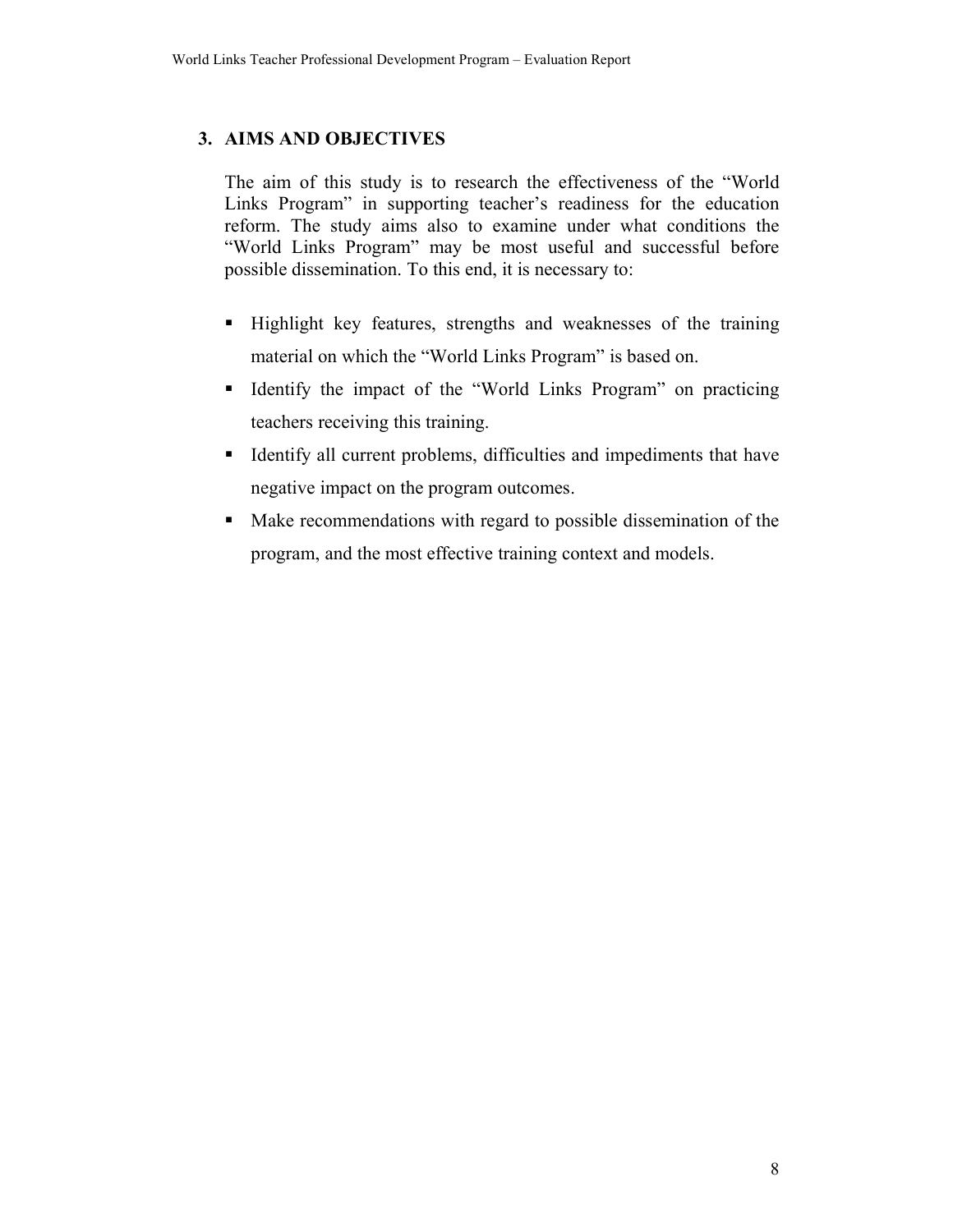## 3. AIMS AND OBJECTIVES

The aim of this study is to research the effectiveness of the "World" Links Program" in supporting teacher's readiness for the education reform. The study aims also to examine under what conditions the "World Links Program" may be most useful and successful before possible dissemination. To this end, it is necessary to:

- Highlight key features, strengths and weaknesses of the training material on which the "World Links Program" is based on.
- Identify the impact of the "World Links Program" on practicing teachers receiving this training.
- Identify all current problems, difficulties and impediments that have negative impact on the program outcomes.
- Make recommendations with regard to possible dissemination of the program, and the most effective training context and models.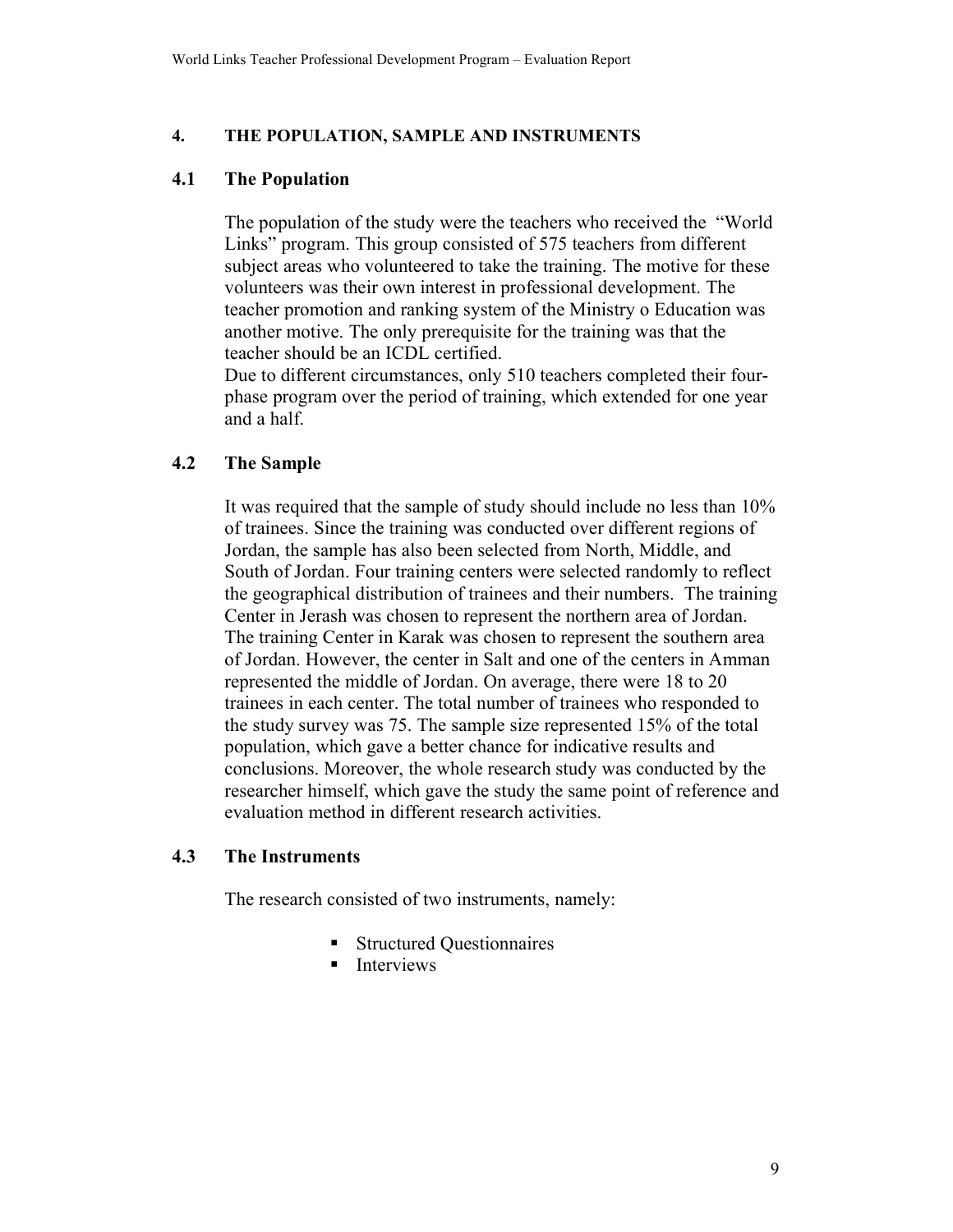#### $\overline{4}$ . THE POPULATION, SAMPLE AND INSTRUMENTS

#### $4.1$ **The Population**

The population of the study were the teachers who received the "World" Links" program. This group consisted of 575 teachers from different subject areas who volunteered to take the training. The motive for these volunteers was their own interest in professional development. The teacher promotion and ranking system of the Ministry o Education was another motive. The only prerequisite for the training was that the teacher should be an ICDL certified.

Due to different circumstances, only 510 teachers completed their fourphase program over the period of training, which extended for one year and a half.

#### $4.2$ **The Sample**

It was required that the sample of study should include no less than 10% of trainees. Since the training was conducted over different regions of Jordan, the sample has also been selected from North, Middle, and South of Jordan. Four training centers were selected randomly to reflect the geographical distribution of trainees and their numbers. The training Center in Jerash was chosen to represent the northern area of Jordan. The training Center in Karak was chosen to represent the southern area of Jordan. However, the center in Salt and one of the centers in Amman represented the middle of Jordan. On average, there were 18 to 20 trainees in each center. The total number of trainees who responded to the study survey was 75. The sample size represented 15% of the total population, which gave a better chance for indicative results and conclusions. Moreover, the whole research study was conducted by the researcher himself, which gave the study the same point of reference and evaluation method in different research activities.

#### $4.3$ **The Instruments**

The research consisted of two instruments, namely:

- Structured Questionnaires
- $\blacksquare$  Interviews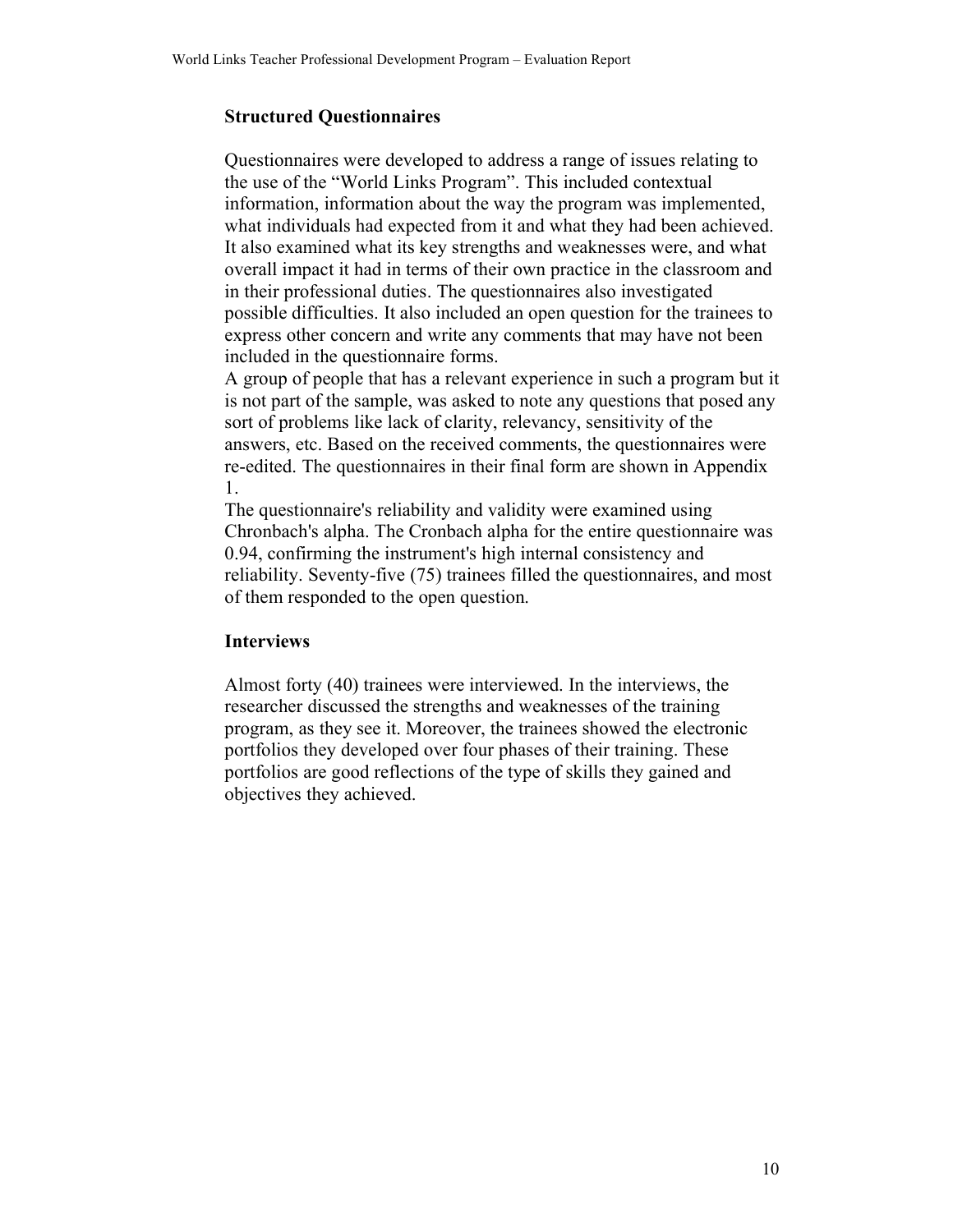## **Structured Ouestionnaires**

Questionnaires were developed to address a range of issues relating to the use of the "World Links Program". This included contextual information, information about the way the program was implemented. what individuals had expected from it and what they had been achieved. It also examined what its key strengths and weaknesses were, and what overall impact it had in terms of their own practice in the classroom and in their professional duties. The questionnaires also investigated possible difficulties. It also included an open question for the trainees to express other concern and write any comments that may have not been included in the question aire forms.

A group of people that has a relevant experience in such a program but it is not part of the sample, was asked to note any questions that posed any sort of problems like lack of clarity, relevancy, sensitivity of the answers, etc. Based on the received comments, the questionnaires were re-edited. The questionnaires in their final form are shown in Appendix 1.

The questionnaire's reliability and validity were examined using Chronbach's alpha. The Cronbach alpha for the entire questionnaire was 0.94, confirming the instrument's high internal consistency and reliability. Seventy-five (75) trainees filled the question aires, and most of them responded to the open question.

## **Interviews**

Almost forty (40) trainees were interviewed. In the interviews, the researcher discussed the strengths and weaknesses of the training program, as they see it. Moreover, the trainees showed the electronic portfolios they developed over four phases of their training. These portfolios are good reflections of the type of skills they gained and objectives they achieved.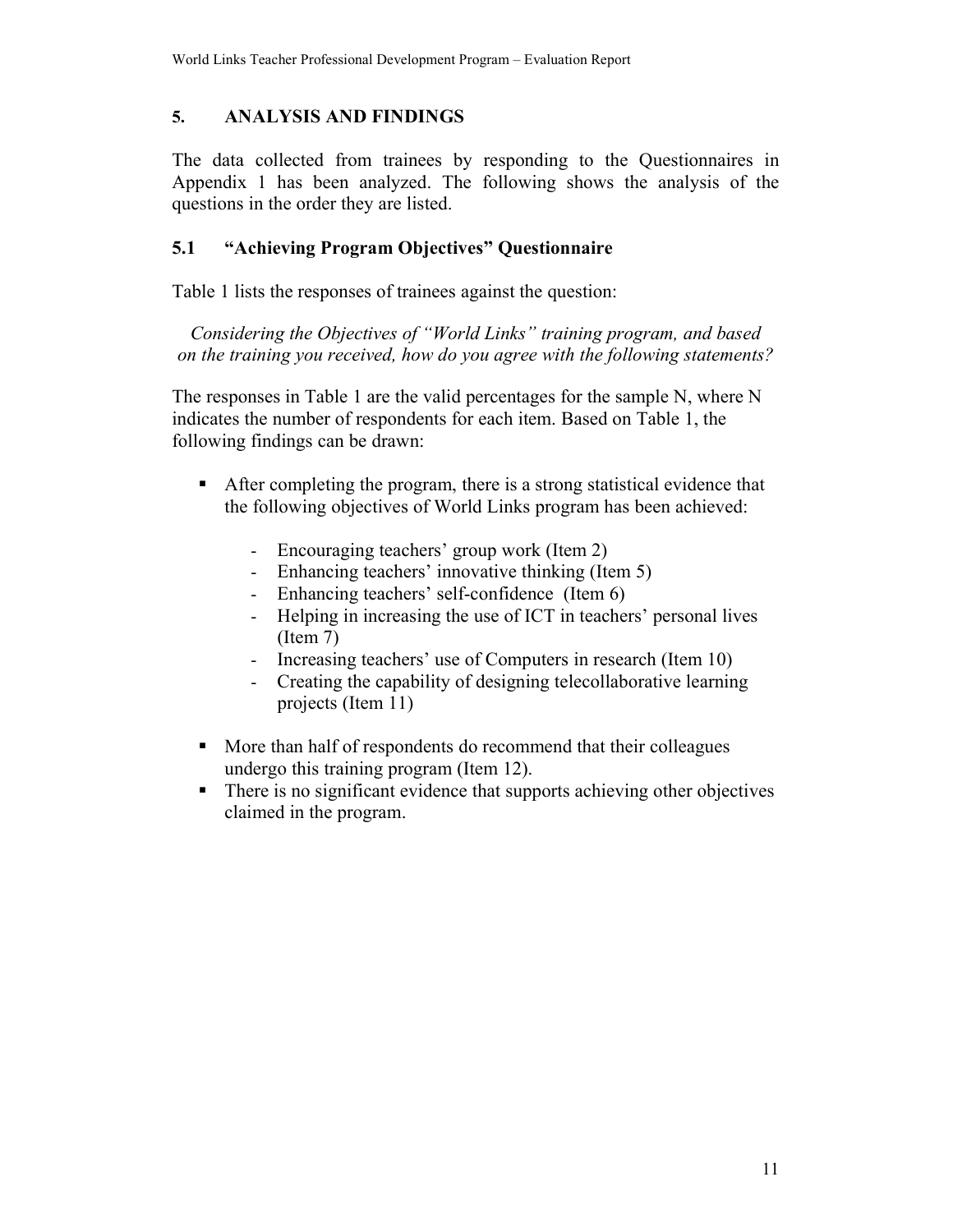### 5. **ANALYSIS AND FINDINGS**

The data collected from trainees by responding to the Questionnaires in Appendix 1 has been analyzed. The following shows the analysis of the questions in the order they are listed.

### $5.1$ "Achieving Program Objectives" Questionnaire

Table 1 lists the responses of trainees against the question:

Considering the Objectives of "World Links" training program, and based on the training you received, how do you agree with the following statements?

The responses in Table 1 are the valid percentages for the sample N, where N indicates the number of respondents for each item. Based on Table 1, the following findings can be drawn:

- After completing the program, there is a strong statistical evidence that the following objectives of World Links program has been achieved:
	- Encouraging teachers' group work (Item 2)
	- Enhancing teachers' innovative thinking (Item 5)
	- Enhancing teachers' self-confidence (Item 6)  $\omega_{\rm{max}}$
	- Helping in increasing the use of ICT in teachers' personal lives  $\omega_{\rm{max}}$  $(Item 7)$
	- Increasing teachers' use of Computers in research (Item 10)  $\omega_{\rm{max}}$
	- Creating the capability of designing telecollaborative learning  $\Delta \sim 10^4$ projects (Item 11)
- More than half of respondents do recommend that their colleagues undergo this training program (Item 12).
- There is no significant evidence that supports achieving other objectives claimed in the program.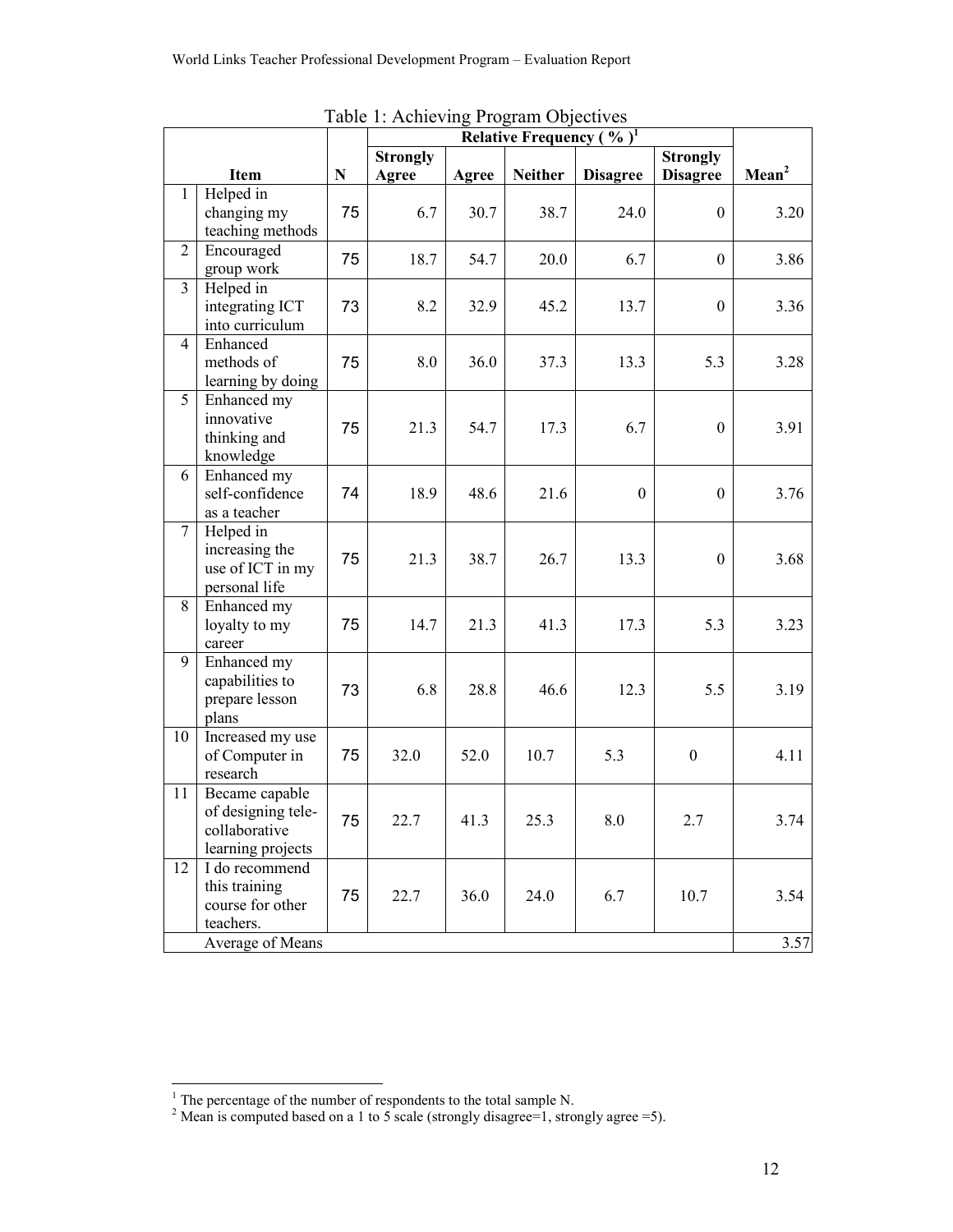|                |                                                                            |           | $1.1$ $\mu$ me $\mu$ <sub>m</sub> e $1.0$ <sub>p</sub> $\mu$ <sub>m</sub> $\sigma$ ogied $\mu$ |       |                |                    |                  |                   |
|----------------|----------------------------------------------------------------------------|-----------|------------------------------------------------------------------------------------------------|-------|----------------|--------------------|------------------|-------------------|
|                | Relative Frequency (%) <sup>1</sup><br><b>Strongly</b><br><b>Strongly</b>  |           |                                                                                                |       |                |                    |                  |                   |
|                | Item                                                                       | ${\bf N}$ | Agree                                                                                          | Agree | <b>Neither</b> | <b>Disagree</b>    | <b>Disagree</b>  | Mean <sup>2</sup> |
| $\mathbf{1}$   | Helped in<br>changing my<br>teaching methods                               | 75        | 6.7                                                                                            | 30.7  | 38.7           | 24.0               | $\boldsymbol{0}$ | 3.20              |
| $\overline{2}$ | Encouraged<br>group work                                                   | 75        | 18.7                                                                                           | 54.7  | 20.0           | 6.7                | $\boldsymbol{0}$ | 3.86              |
| $\overline{3}$ | Helped in<br>integrating ICT<br>into curriculum                            | 73        | 8.2                                                                                            | 32.9  | 45.2           | 13.7               | $\boldsymbol{0}$ | 3.36              |
| $\overline{4}$ | Enhanced<br>methods of<br>learning by doing                                | 75        | 8.0                                                                                            | 36.0  | 37.3           | 13.3               | 5.3              | 3.28              |
| 5              | Enhanced my<br>innovative<br>thinking and<br>knowledge                     | 75        | 21.3                                                                                           | 54.7  | 17.3           | 6.7                | $\boldsymbol{0}$ | 3.91              |
| 6              | Enhanced my<br>self-confidence<br>as a teacher                             | 74        | 18.9                                                                                           | 48.6  | 21.6           | $\boldsymbol{0}$   | $\boldsymbol{0}$ | 3.76              |
| $\tau$         | Helped in<br>increasing the<br>use of ICT in my<br>personal life           | 75        | 21.3                                                                                           | 38.7  | 26.7           | 13.3               | $\boldsymbol{0}$ | 3.68              |
| 8              | Enhanced my<br>loyalty to my<br>career                                     | 75        | 14.7                                                                                           | 21.3  | 41.3           | 17.3               | 5.3              | 3.23              |
| 9              | Enhanced my<br>capabilities to<br>prepare lesson<br>plans                  | 73        | 6.8                                                                                            | 28.8  | 46.6           | 12.3               | 5.5              | 3.19              |
| 10             | Increased my use<br>of Computer in<br>research                             | 75        | 32.0                                                                                           | 52.0  | 10.7           | 5.3                | $\boldsymbol{0}$ | 4.11              |
| 11             | Became capable<br>of designing tele-<br>collaborative<br>learning projects | 75        | 22.7                                                                                           | 41.3  | 25.3           | $\boldsymbol{8.0}$ | 2.7              | 3.74              |
| 12             | I do recommend<br>this training<br>course for other<br>teachers.           | 75        | 22.7                                                                                           | 36.0  | 24.0           | 6.7                | 10.7             | 3.54              |
|                | Average of Means                                                           |           |                                                                                                |       |                |                    |                  | 3.57              |

Table 1: Achieving Program Objectives

<sup>&</sup>lt;sup>1</sup> The percentage of the number of respondents to the total sample N.<br><sup>2</sup> Mean is computed based on a 1 to 5 scale (strongly disagree=1, strongly agree =5).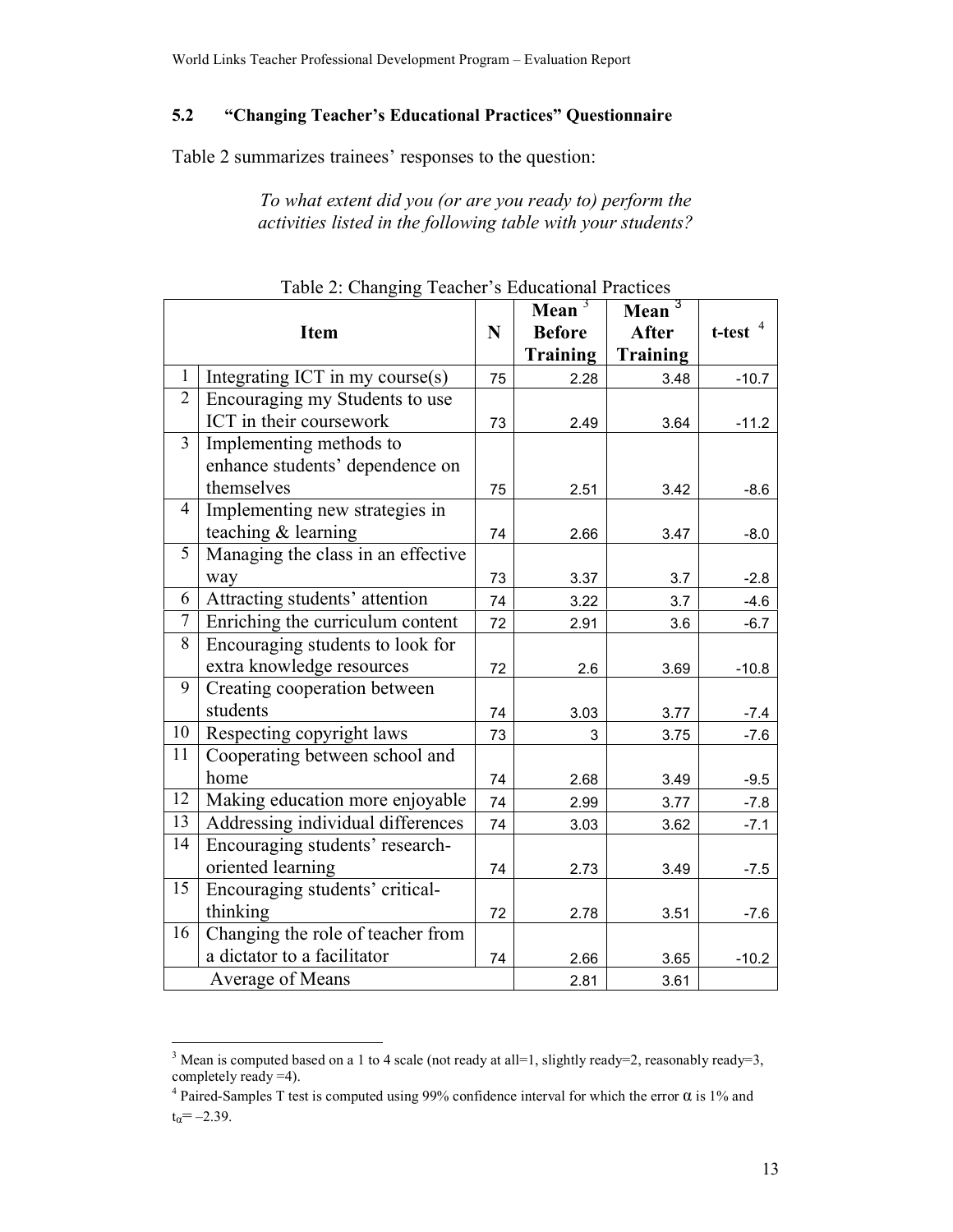#### $5.2$ "Changing Teacher's Educational Practices" Questionnaire

Table 2 summarizes trainees' responses to the question:

To what extent did you (or are you ready to) perform the activities listed in the following table with your students?

|                 |                                    |    | Mean $3$        | Mean $3$        |               |
|-----------------|------------------------------------|----|-----------------|-----------------|---------------|
|                 | <b>Item</b>                        | N  | <b>Before</b>   | <b>After</b>    | $t$ -test $4$ |
|                 |                                    |    | <b>Training</b> | <b>Training</b> |               |
| $\mathbf{1}$    | Integrating ICT in my course(s)    | 75 | 2.28            | 3.48            | $-10.7$       |
| $\overline{2}$  | Encouraging my Students to use     |    |                 |                 |               |
|                 | ICT in their coursework            | 73 | 2.49            | 3.64            | $-11.2$       |
| 3               | Implementing methods to            |    |                 |                 |               |
|                 | enhance students' dependence on    |    |                 |                 |               |
|                 | themselves                         | 75 | 2.51            | 3.42            | $-8.6$        |
| $\overline{4}$  | Implementing new strategies in     |    |                 |                 |               |
|                 | teaching & learning                | 74 | 2.66            | 3.47            | $-8.0$        |
| 5               | Managing the class in an effective |    |                 |                 |               |
|                 | way                                | 73 | 3.37            | 3.7             | $-2.8$        |
| 6               | Attracting students' attention     | 74 | 3.22            | 3.7             | $-4.6$        |
| $\overline{7}$  | Enriching the curriculum content   | 72 | 2.91            | 3.6             | $-6.7$        |
| 8               | Encouraging students to look for   |    |                 |                 |               |
|                 | extra knowledge resources          | 72 | 2.6             | 3.69            | $-10.8$       |
| 9               | Creating cooperation between       |    |                 |                 |               |
|                 | students                           | 74 | 3.03            | 3.77            | $-7.4$        |
| 10              | Respecting copyright laws          | 73 | 3               | 3.75            | $-7.6$        |
| 11              | Cooperating between school and     |    |                 |                 |               |
|                 | home                               | 74 | 2.68            | 3.49            | $-9.5$        |
| 12              | Making education more enjoyable    | 74 | 2.99            | 3.77            | $-7.8$        |
| 13              | Addressing individual differences  | 74 | 3.03            | 3.62            | $-7.1$        |
| 14              | Encouraging students' research-    |    |                 |                 |               |
|                 | oriented learning                  | 74 | 2.73            | 3.49            | $-7.5$        |
| $\overline{15}$ | Encouraging students' critical-    |    |                 |                 |               |
|                 | thinking                           | 72 | 2.78            | 3.51            | $-7.6$        |
| 16              | Changing the role of teacher from  |    |                 |                 |               |
|                 | a dictator to a facilitator        | 74 | 2.66            | 3.65            | $-10.2$       |
|                 | Average of Means                   |    | 2.81            | 3.61            |               |

|  |  | Table 2: Changing Teacher's Educational Practices |  |
|--|--|---------------------------------------------------|--|
|  |  |                                                   |  |

<sup>&</sup>lt;sup>3</sup> Mean is computed based on a 1 to 4 scale (not ready at all=1, slightly ready=2, reasonably ready=3, completely ready =4).

<sup>&</sup>lt;sup>4</sup> Paired-Samples T test is computed using 99% confidence interval for which the error  $\alpha$  is 1% and  $t_{\alpha} = -2.39$ .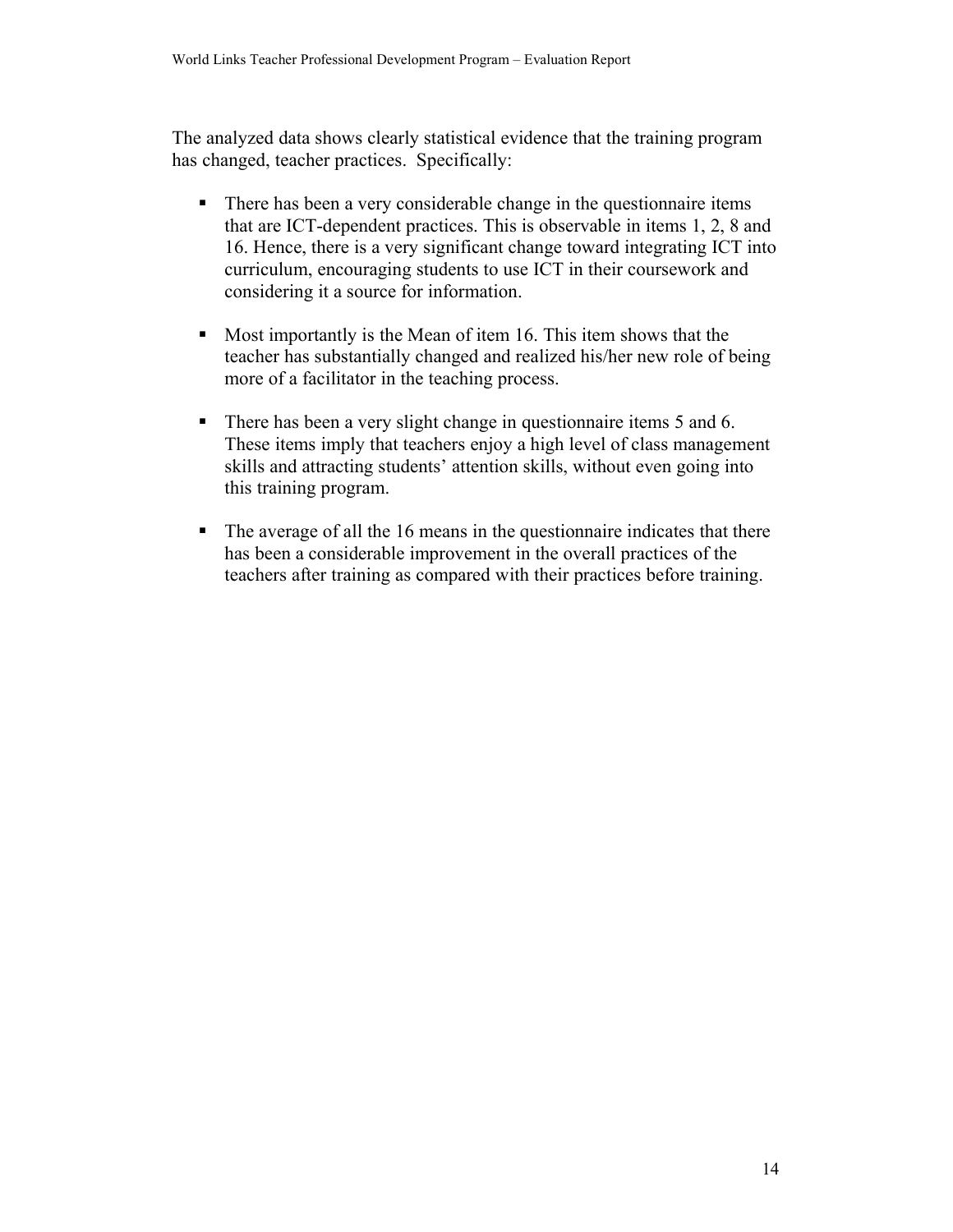The analyzed data shows clearly statistical evidence that the training program has changed, teacher practices. Specifically:

- $\mathbf{u}$  . There has been a very considerable change in the question aire items that are ICT-dependent practices. This is observable in items 1, 2, 8 and 16. Hence, there is a very significant change toward integrating ICT into curriculum, encouraging students to use ICT in their coursework and considering it a source for information.
- Most importantly is the Mean of item 16. This item shows that the  $\mathbf{u}$  . teacher has substantially changed and realized his/her new role of being more of a facilitator in the teaching process.
- $\blacksquare$  . There has been a very slight change in question aire items 5 and 6. These items imply that teachers enjoy a high level of class management skills and attracting students' attention skills, without even going into this training program.
- $\mathbf{u}$ The average of all the 16 means in the question aire indicates that there has been a considerable improvement in the overall practices of the teachers after training as compared with their practices before training.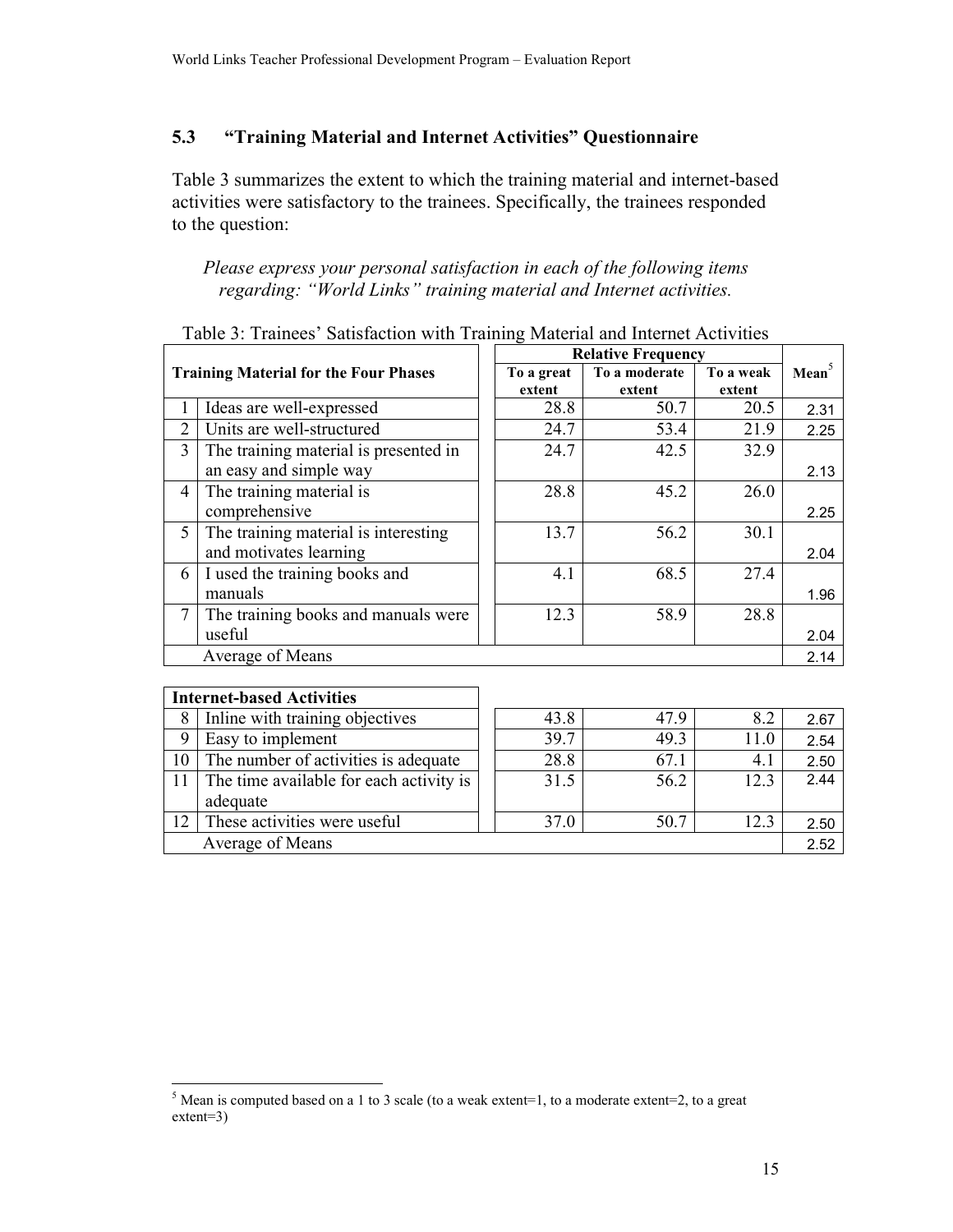#### 5.3 "Training Material and Internet Activities" Questionnaire

Table 3 summarizes the extent to which the training material and internet-based activities were satisfactory to the trainees. Specifically, the trainees responded to the question:

### Please express your personal satisfaction in each of the following items regarding: "World Links" training material and Internet activities.

|                |                                              | <b>Relative Frequency</b> |               |           |                   |
|----------------|----------------------------------------------|---------------------------|---------------|-----------|-------------------|
|                | <b>Training Material for the Four Phases</b> | To a great                | To a moderate | To a weak | Mean <sup>5</sup> |
|                |                                              | extent                    | extent        | extent    |                   |
| 1              | Ideas are well-expressed                     | 28.8                      | 50.7          | 20.5      | 2.31              |
| $\overline{2}$ | Units are well-structured                    | 24.7                      | 53.4          | 21.9      | 2.25              |
| 3              | The training material is presented in        | 24.7                      | 42.5          | 32.9      |                   |
|                | an easy and simple way                       |                           |               |           | 2.13              |
| 4              | The training material is                     | 28.8                      | 45.2          | 26.0      |                   |
|                | comprehensive                                |                           |               |           | 2.25              |
| 5              | The training material is interesting         | 13.7                      | 56.2          | 30.1      |                   |
|                | and motivates learning                       |                           |               |           | 2.04              |
| 6              | I used the training books and                | 4.1                       | 68.5          | 27.4      |                   |
|                | manuals                                      |                           |               |           | 1.96              |
| 7              | The training books and manuals were          | 12.3                      | 58.9          | 28.8      |                   |
|                | useful                                       |                           |               |           | 2.04              |
|                | Average of Means                             |                           |               |           | 2.14              |
|                |                                              |                           |               |           |                   |
|                | <b>Internet-based Activities</b>             |                           |               |           |                   |
| 8              | Inline with training objectives              | 43.8                      | 47.9          | 8.2       | 2.67              |
| 9              | Easy to implement                            | 39.7                      | 49.3          | 11.0      | 2.54              |
| 10             | The number of activities is adequate         | 28.8                      | 67.1          | 4.1       | 2.50              |

 $31.5$ 

 $37.0$ 

### Table 3: Trainees' Satisfaction with Training Material and Internet Activities

The time available for each activity is

These activities were useful

Average of Means

11

12

adequate

 $12.3$ 

 $12.3$ 

56.2

 $\overline{50.7}$ 

 $2.44$ 

2.50

2.52

 $5$  Mean is computed based on a 1 to 3 scale (to a weak extent=1, to a moderate extent=2, to a great  $extent=3)$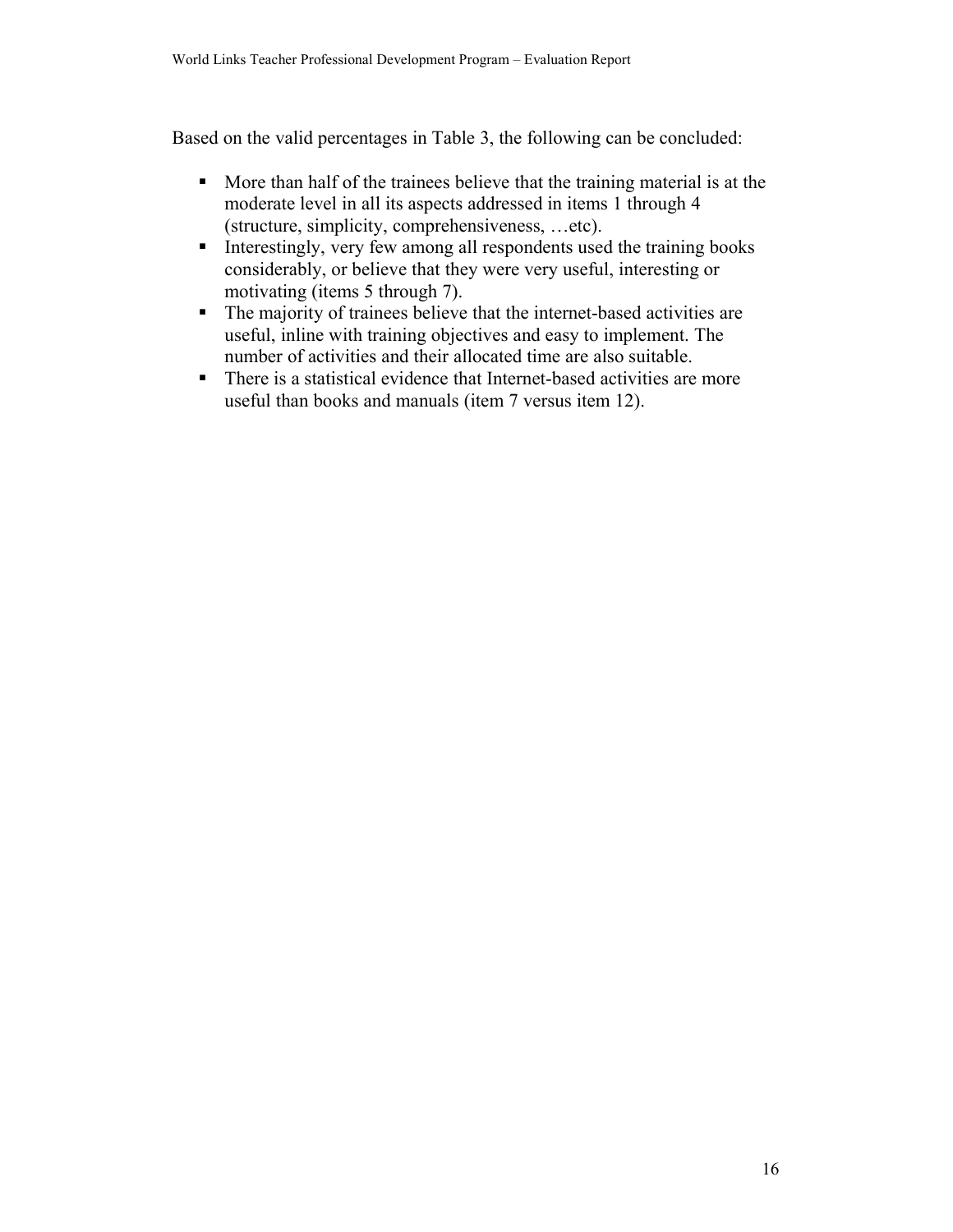Based on the valid percentages in Table 3, the following can be concluded:

- More than half of the trainees believe that the training material is at the moderate level in all its aspects addressed in items 1 through 4 (structure, simplicity, comprehensiveness, ... etc).
- Interestingly, very few among all respondents used the training books  $\mathbf{E}^{(1)}$ considerably, or believe that they were very useful, interesting or motivating (items 5 through 7).
- The majority of trainees believe that the internet-based activities are  $\mathbf{E}^{(1)}$ useful, inline with training objectives and easy to implement. The number of activities and their allocated time are also suitable.
- There is a statistical evidence that Internet-based activities are more  $\mathbf{u}$  . useful than books and manuals (item 7 versus item 12).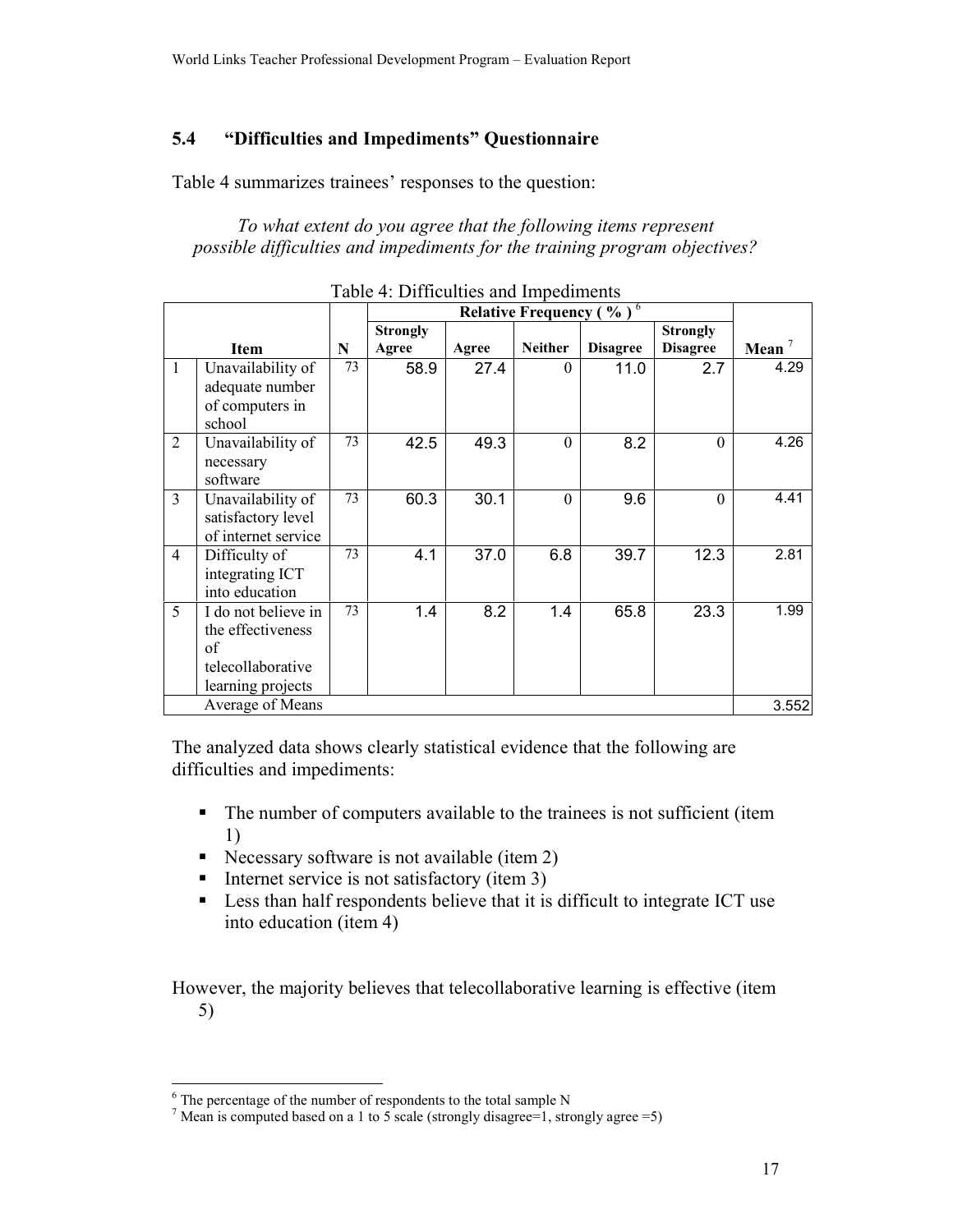#### $5.4$ "Difficulties and Impediments" Questionnaire

Table 4 summarizes trainees' responses to the question:

To what extent do you agree that the following items represent possible difficulties and impediments for the training program objectives?

|                |                                                                                          | Relative Frequency ( $\sqrt[6]{\ }$ <sup>6</sup> |                          |       |                |                 |                                    |          |
|----------------|------------------------------------------------------------------------------------------|--------------------------------------------------|--------------------------|-------|----------------|-----------------|------------------------------------|----------|
|                | <b>Item</b>                                                                              | N                                                | <b>Strongly</b><br>Agree | Agree | <b>Neither</b> | <b>Disagree</b> | <b>Strongly</b><br><b>Disagree</b> | Mean $7$ |
| $\mathbf{1}$   | Unavailability of<br>adequate number<br>of computers in<br>school                        | 73                                               | 58.9                     | 27.4  | $\Omega$       | 11.0            | 2.7                                | 4.29     |
| $\overline{2}$ | Unavailability of<br>necessary<br>software                                               | 73                                               | 42.5                     | 49.3  | $\theta$       | 8.2             | $\theta$                           | 4.26     |
| 3              | Unavailability of<br>satisfactory level<br>of internet service                           | 73                                               | 60.3                     | 30.1  | $\Omega$       | 9.6             | $\theta$                           | 4.41     |
| $\overline{4}$ | Difficulty of<br>integrating ICT<br>into education                                       | 73                                               | 4.1                      | 37.0  | 6.8            | 39.7            | 12.3                               | 2.81     |
| 5              | I do not believe in<br>the effectiveness<br>of<br>telecollaborative<br>learning projects | 73                                               | 1.4                      | 8.2   | 1.4            | 65.8            | 23.3                               | 1.99     |
|                | Average of Means                                                                         |                                                  |                          |       |                |                 |                                    | 3.552    |

Table 4: Difficulties and Impediments

The analyzed data shows clearly statistical evidence that the following are difficulties and impediments:

- The number of computers available to the trainees is not sufficient (item 1)
- Necessary software is not available (item 2)
- Internet service is not satisfactory (item 3)
- Less than half respondents believe that it is difficult to integrate ICT use  $\mathbf{u}$  . into education (item 4)

However, the majority believes that telecollaborative learning is effective (item  $5)$ 

 $6$  The percentage of the number of respondents to the total sample N

<sup>&</sup>lt;sup>7</sup> Mean is computed based on a 1 to 5 scale (strongly disagree=1, strongly agree =5)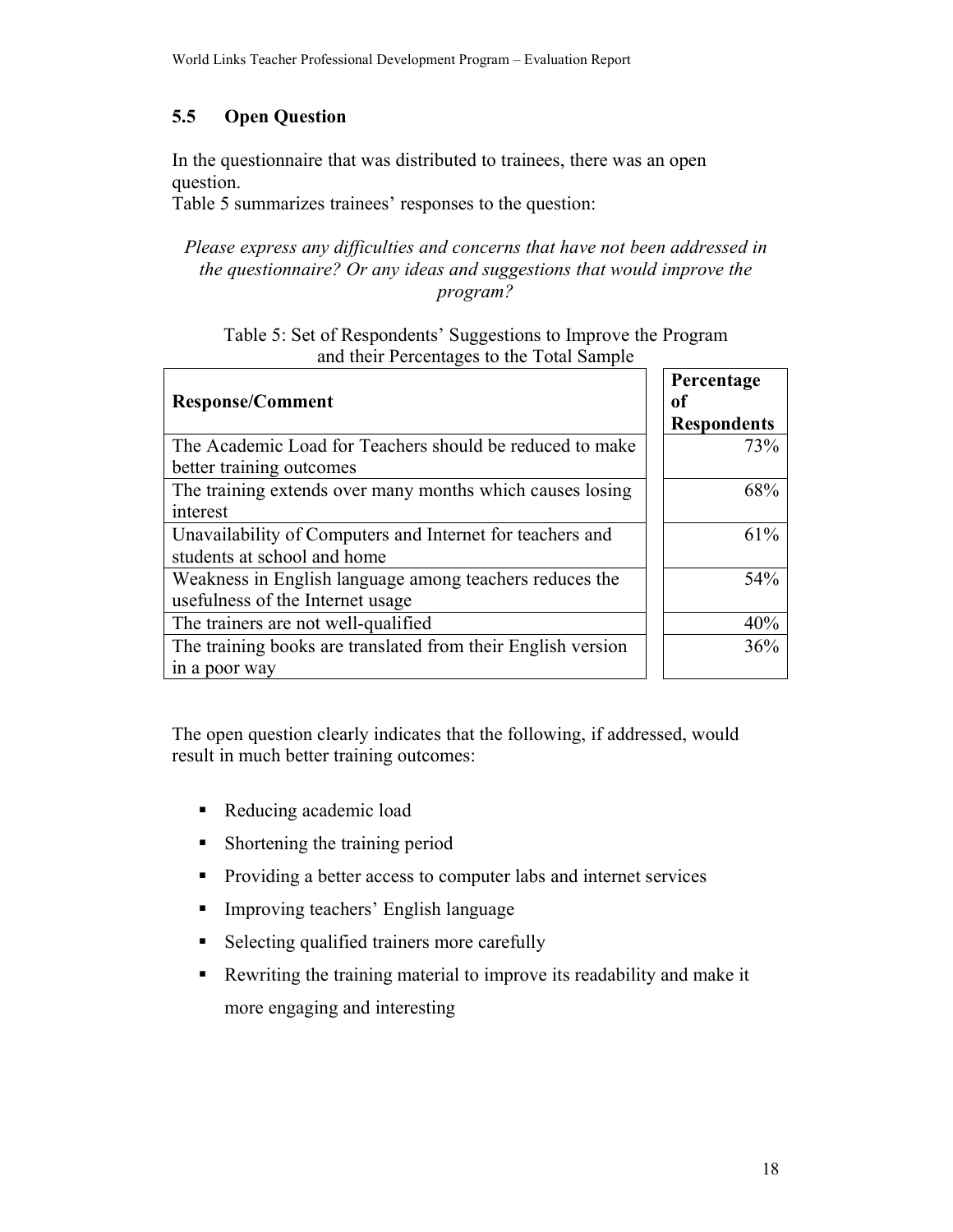### $5.5$ **Open Question**

In the questionnaire that was distributed to trainees, there was an open question.

Table 5 summarizes trainees' responses to the question:

## Please express any difficulties and concerns that have not been addressed in the questionnaire? Or any ideas and suggestions that would improve the program?

Table 5: Set of Respondents' Suggestions to Improve the Program and their Percentages to the Total Sample

| <b>Response/Comment</b>                                                                | Percentage<br>оf<br><b>Respondents</b> |
|----------------------------------------------------------------------------------------|----------------------------------------|
| The Academic Load for Teachers should be reduced to make<br>better training outcomes   | 73%                                    |
| The training extends over many months which causes losing                              | 68%                                    |
| interest<br>Unavailability of Computers and Internet for teachers and                  | 61%                                    |
| students at school and home<br>Weakness in English language among teachers reduces the | 54%                                    |
| usefulness of the Internet usage<br>The trainers are not well-qualified                | 40%                                    |
| The training books are translated from their English version<br>in a poor way          | 36%                                    |

The open question clearly indicates that the following, if addressed, would result in much better training outcomes:

- Reducing academic load
- Shortening the training period  $\blacksquare$  .
- Providing a better access to computer labs and internet services  $\blacksquare$  .
- Improving teachers' English language  $\mathbf{E}^{(1)}$
- Selecting qualified trainers more carefully  $\mathbf{u}$
- $\mathbf{u}$  . Rewriting the training material to improve its readability and make it more engaging and interesting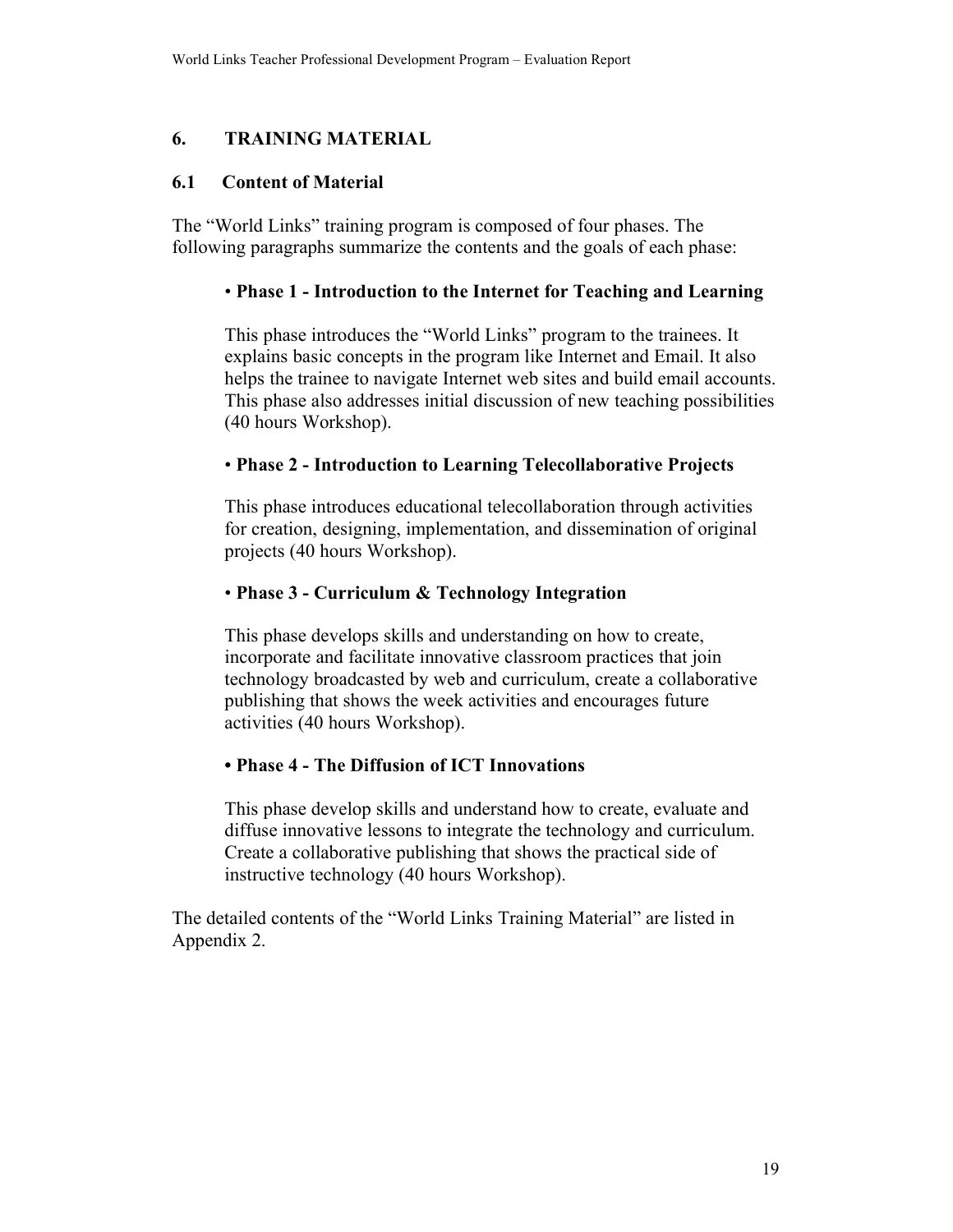#### 6. **TRAINING MATERIAL**

#### $6.1$ **Content of Material**

The "World Links" training program is composed of four phases. The following paragraphs summarize the contents and the goals of each phase:

### • Phase 1 - Introduction to the Internet for Teaching and Learning

This phase introduces the "World Links" program to the trainees. It explains basic concepts in the program like Internet and Email. It also helps the trainee to navigate Internet web sites and build email accounts. This phase also addresses initial discussion of new teaching possibilities (40 hours Workshop).

### • Phase 2 - Introduction to Learning Telecollaborative Projects

This phase introduces educational telecollaboration through activities for creation, designing, implementation, and dissemination of original projects (40 hours Workshop).

## • Phase 3 - Curriculum & Technology Integration

This phase develops skills and understanding on how to create. incorporate and facilitate innovative classroom practices that join technology broadcasted by web and curriculum, create a collaborative publishing that shows the week activities and encourages future activities (40 hours Workshop).

## • Phase 4 - The Diffusion of ICT Innovations

This phase develop skills and understand how to create, evaluate and diffuse innovative lessons to integrate the technology and curriculum. Create a collaborative publishing that shows the practical side of instructive technology (40 hours Workshop).

The detailed contents of the "World Links Training Material" are listed in Appendix 2.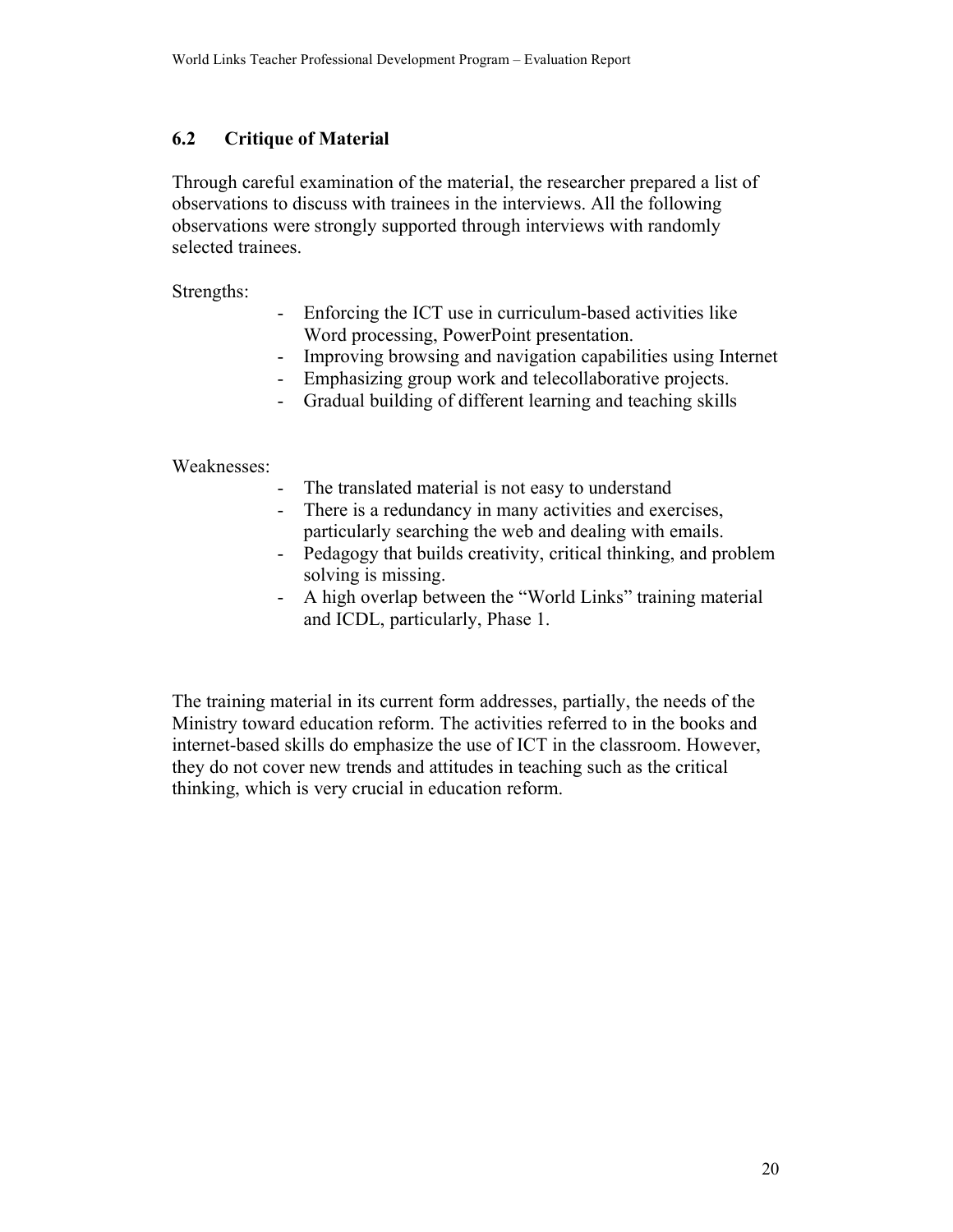#### $6.2$ **Critique of Material**

Through careful examination of the material, the researcher prepared a list of observations to discuss with trainees in the interviews. All the following observations were strongly supported through interviews with randomly selected trainees.

Strengths:

- Enforcing the ICT use in curriculum-based activities like  $\omega_{\rm{max}}$ Word processing, PowerPoint presentation.
- Improving browsing and navigation capabilities using Internet  $\Delta \sim 10$
- Emphasizing group work and telecollaborative projects.
- Gradual building of different learning and teaching skills  $\Delta \sim 10^{-10}$

Weaknesses:

- The translated material is not easy to understand  $\sim$
- There is a redundancy in many activities and exercises, particularly searching the web and dealing with emails.
- Pedagogy that builds creativity, critical thinking, and problem  $\omega_{\rm{max}}$ solving is missing.
- $\mathbb{Z}^{\mathbb{Z}^2}$ A high overlap between the "World Links" training material and ICDL, particularly, Phase 1.

The training material in its current form addresses, partially, the needs of the Ministry toward education reform. The activities referred to in the books and internet-based skills do emphasize the use of ICT in the classroom. However, they do not cover new trends and attitudes in teaching such as the critical thinking, which is very crucial in education reform.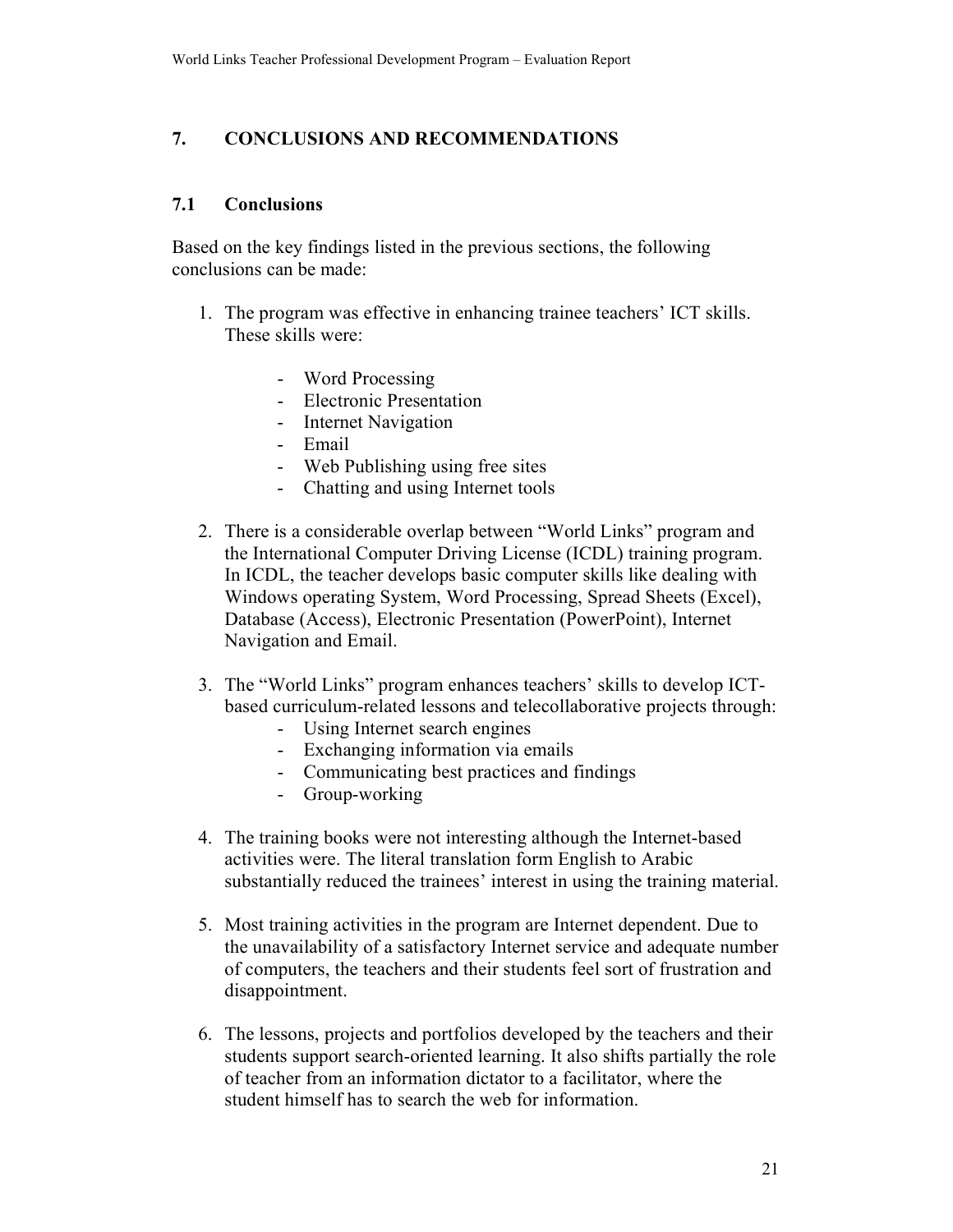#### 7. **CONCLUSIONS AND RECOMMENDATIONS**

#### $7.1$ **Conclusions**

Based on the key findings listed in the previous sections, the following conclusions can be made.

- 1. The program was effective in enhancing trainee teachers' ICT skills. These skills were:
	- Word Processing
	- Electronic Presentation
	- Internet Navigation
	- Email
	- Web Publishing using free sites
	- Chatting and using Internet tools  $\omega_{\rm{max}}$
- 2. There is a considerable overlap between "World Links" program and the International Computer Driving License (ICDL) training program. In ICDL, the teacher develops basic computer skills like dealing with Windows operating System, Word Processing, Spread Sheets (Excel), Database (Access), Electronic Presentation (PowerPoint), Internet Navigation and Email.
- 3. The "World Links" program enhances teachers' skills to develop ICTbased curriculum-related lessons and telecollaborative projects through:
	- Using Internet search engines
	- Exchanging information via emails
	- Communicating best practices and findings
	- Group-working
- 4. The training books were not interesting although the Internet-based activities were. The literal translation form English to Arabic substantially reduced the trainees' interest in using the training material.
- 5. Most training activities in the program are Internet dependent. Due to the unavailability of a satisfactory Internet service and adequate number of computers, the teachers and their students feel sort of frustration and disappointment.
- 6. The lessons, projects and portfolios developed by the teachers and their students support search-oriented learning. It also shifts partially the role of teacher from an information dictator to a facilitator, where the student himself has to search the web for information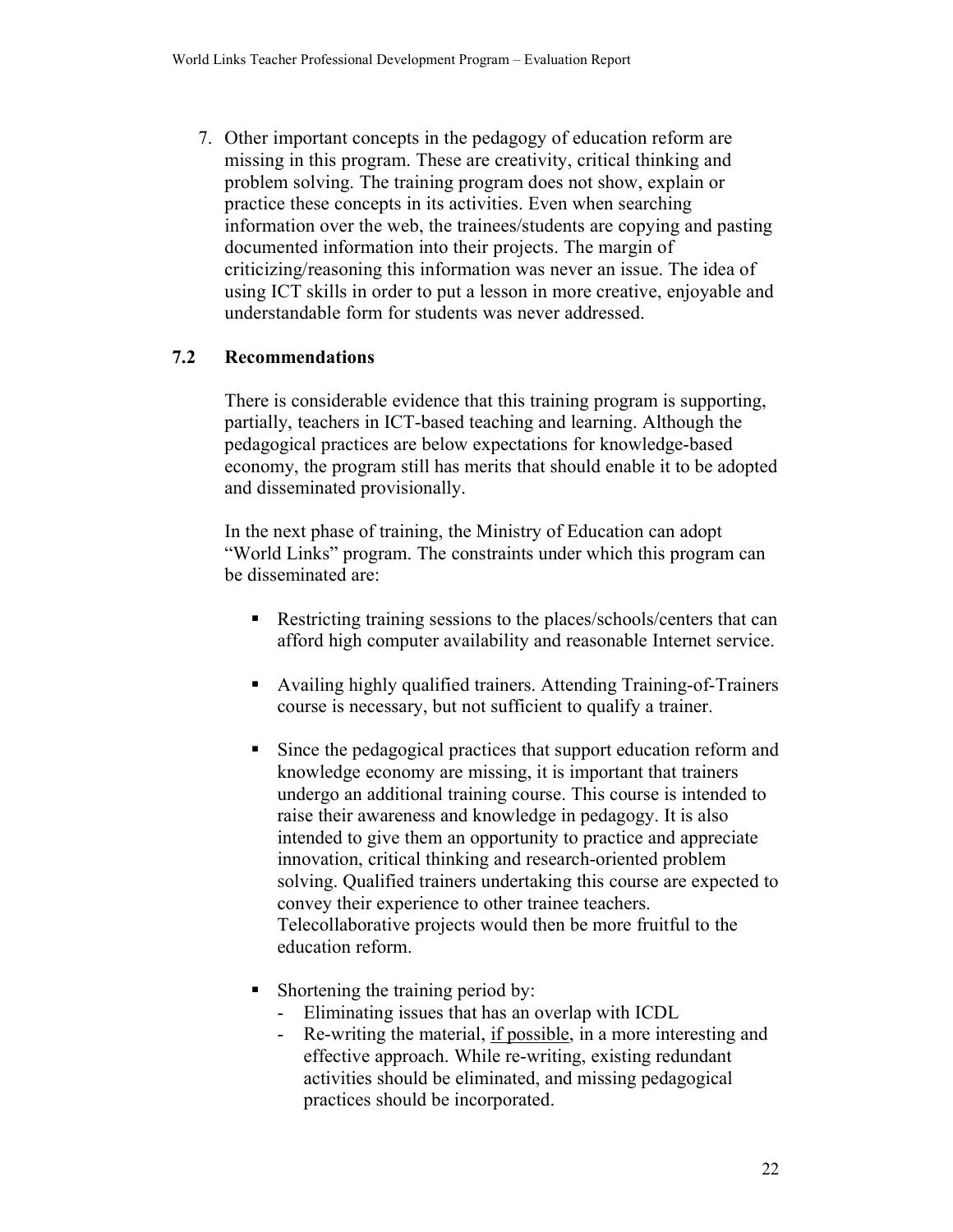7. Other important concepts in the pedagogy of education reform are missing in this program. These are creativity, critical thinking and problem solving. The training program does not show, explain or practice these concepts in its activities. Even when searching information over the web, the trainees/students are copying and pasting documented information into their projects. The margin of criticizing/reasoning this information was never an issue. The idea of using ICT skills in order to put a lesson in more creative, enjoyable and understandable form for students was never addressed.

#### $7.2$ **Recommendations**

There is considerable evidence that this training program is supporting, partially, teachers in ICT-based teaching and learning. Although the pedagogical practices are below expectations for knowledge-based economy, the program still has merits that should enable it to be adopted and disseminated provisionally.

In the next phase of training, the Ministry of Education can adopt "World Links" program. The constraints under which this program can be disseminated are:

- Restricting training sessions to the places/schools/centers that can afford high computer availability and reasonable Internet service.
- Availing highly qualified trainers. Attending Training-of-Trainers course is necessary, but not sufficient to qualify a trainer.
- $\blacksquare$ Since the pedagogical practices that support education reform and knowledge economy are missing, it is important that trainers undergo an additional training course. This course is intended to raise their awareness and knowledge in pedagogy. It is also intended to give them an opportunity to practice and appreciate innovation, critical thinking and research-oriented problem solving. Qualified trainers undertaking this course are expected to convey their experience to other trainee teachers. Telecollaborative projects would then be more fruitful to the education reform.
- Shortening the training period by:
	- Eliminating issues that has an overlap with ICDL
	- Re-writing the material, if possible, in a more interesting and effective approach. While re-writing, existing redundant activities should be eliminated, and missing pedagogical practices should be incorporated.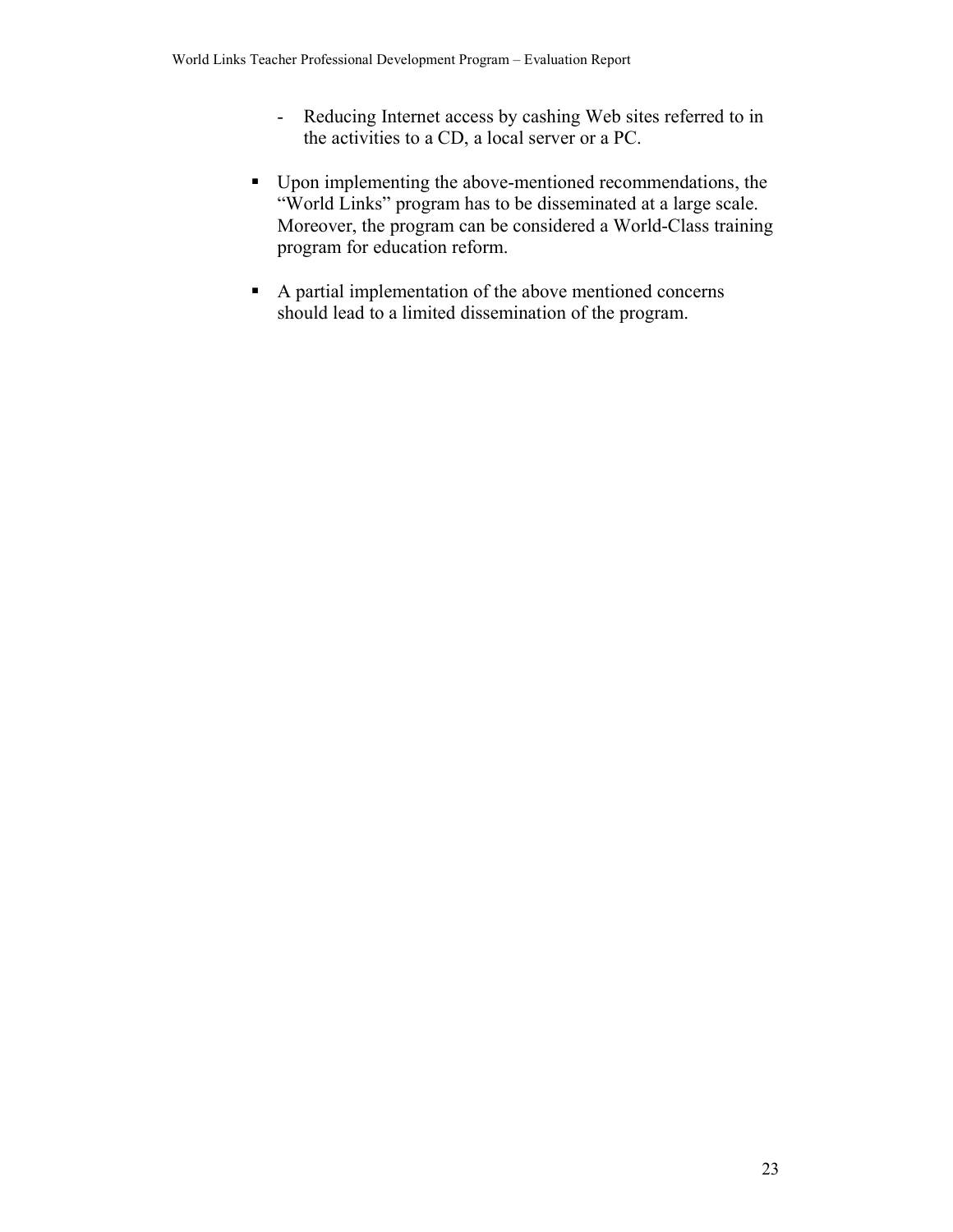- Reducing Internet access by cashing Web sites referred to in the activities to a CD, a local server or a PC.
- Upon implementing the above-mentioned recommendations, the "World Links" program has to be disseminated at a large scale. Moreover, the program can be considered a World-Class training program for education reform.
- A partial implementation of the above mentioned concerns should lead to a limited dissemination of the program.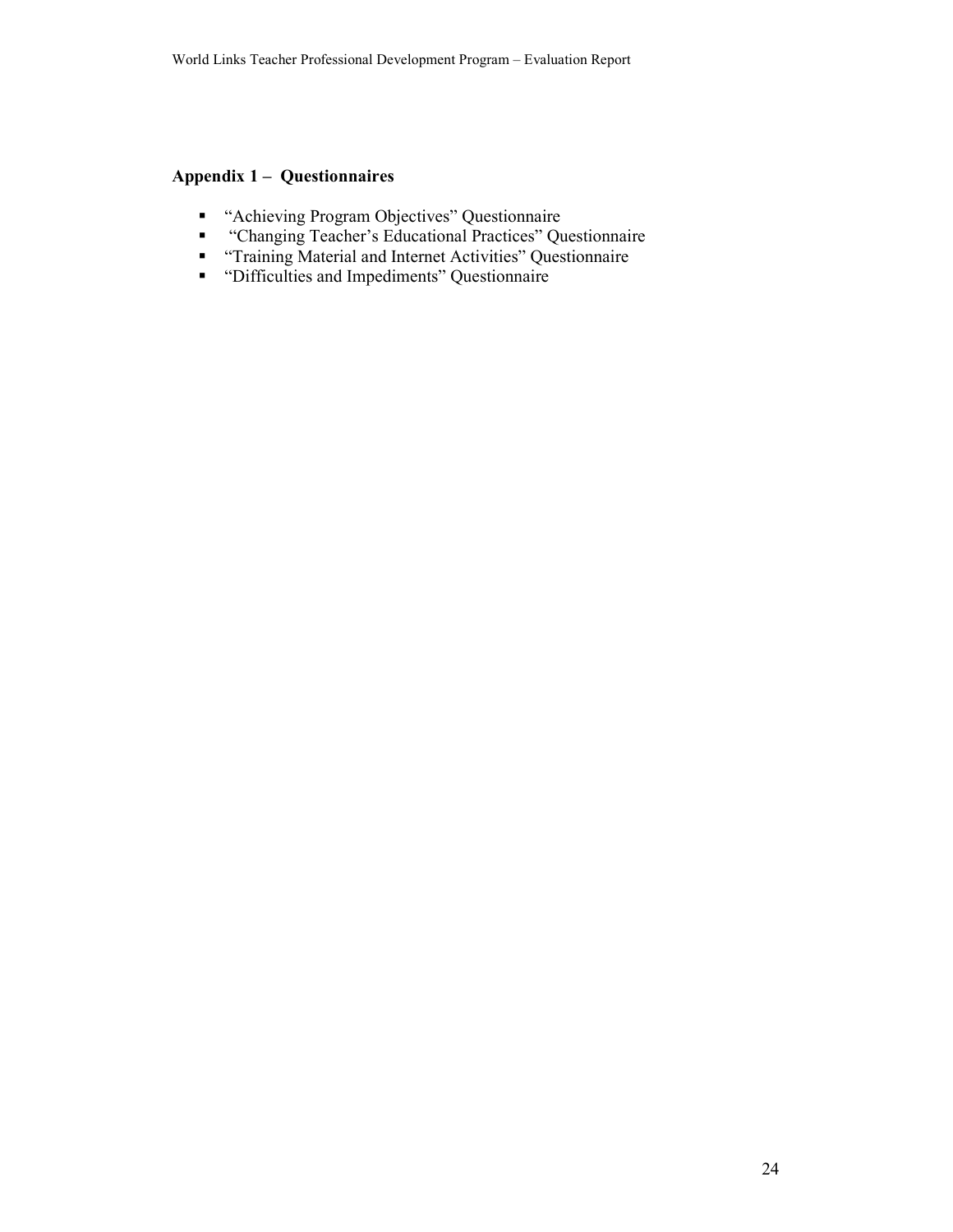### **Appendix 1 – Questionnaires**

- "Achieving Program Objectives" Questionnaire
- "Changing Teacher's Educational Practices" Questionnaire  $\blacksquare$
- "Training Material and Internet Activities" Questionnaire
- "Difficulties and Impediments" Questionnaire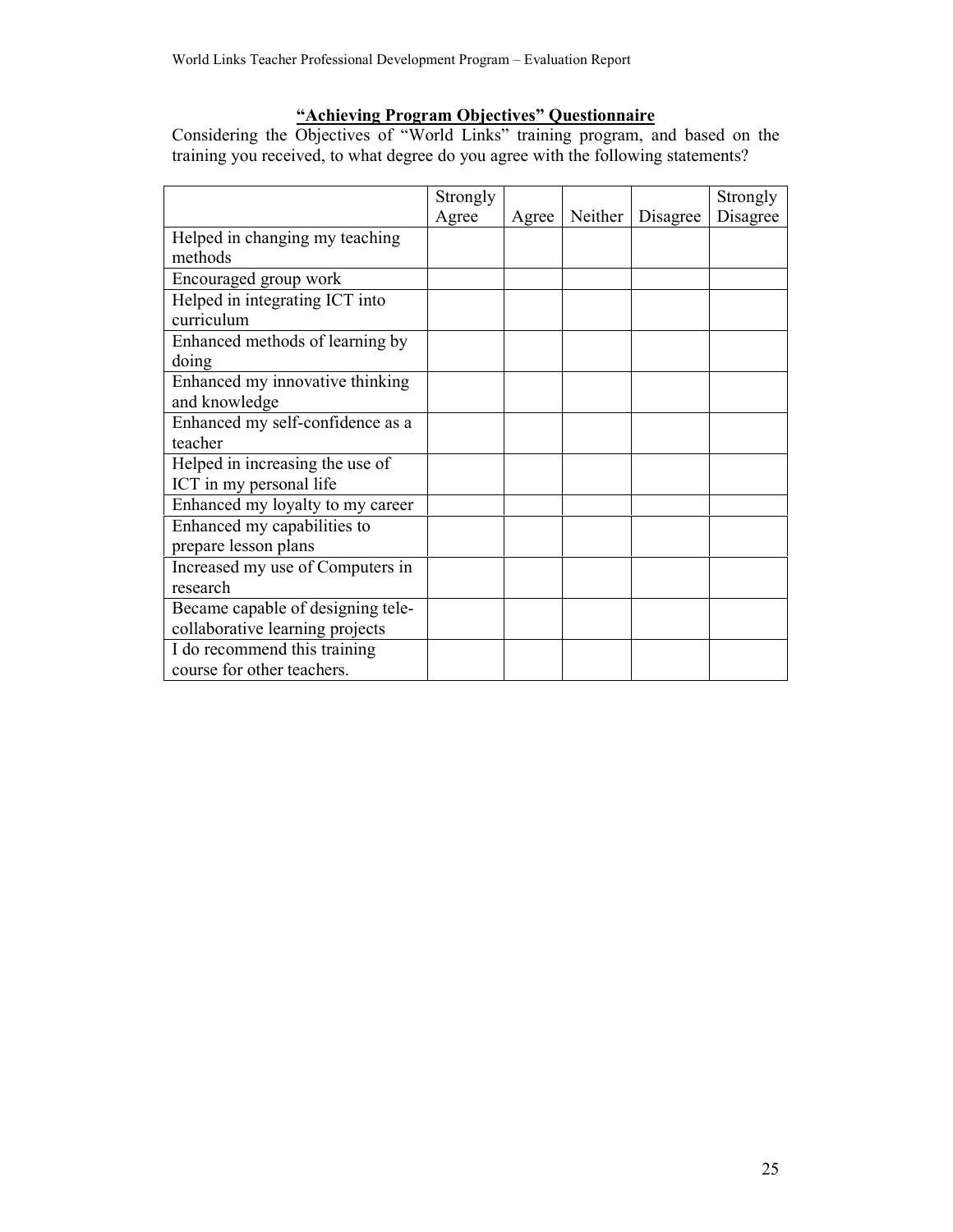"Achieving Program Objectives" Questionnaire<br>Considering the Objectives of "World Links" training program, and based on the<br>training you received, to what degree do you agree with the following statements?

|                                   | Strongly |       |         |          | Strongly |
|-----------------------------------|----------|-------|---------|----------|----------|
|                                   | Agree    | Agree | Neither | Disagree | Disagree |
| Helped in changing my teaching    |          |       |         |          |          |
| methods                           |          |       |         |          |          |
| Encouraged group work             |          |       |         |          |          |
| Helped in integrating ICT into    |          |       |         |          |          |
| curriculum                        |          |       |         |          |          |
| Enhanced methods of learning by   |          |       |         |          |          |
| doing                             |          |       |         |          |          |
| Enhanced my innovative thinking   |          |       |         |          |          |
| and knowledge                     |          |       |         |          |          |
| Enhanced my self-confidence as a  |          |       |         |          |          |
| teacher                           |          |       |         |          |          |
| Helped in increasing the use of   |          |       |         |          |          |
| ICT in my personal life           |          |       |         |          |          |
| Enhanced my loyalty to my career  |          |       |         |          |          |
| Enhanced my capabilities to       |          |       |         |          |          |
| prepare lesson plans              |          |       |         |          |          |
| Increased my use of Computers in  |          |       |         |          |          |
| research                          |          |       |         |          |          |
| Became capable of designing tele- |          |       |         |          |          |
| collaborative learning projects   |          |       |         |          |          |
| I do recommend this training      |          |       |         |          |          |
| course for other teachers.        |          |       |         |          |          |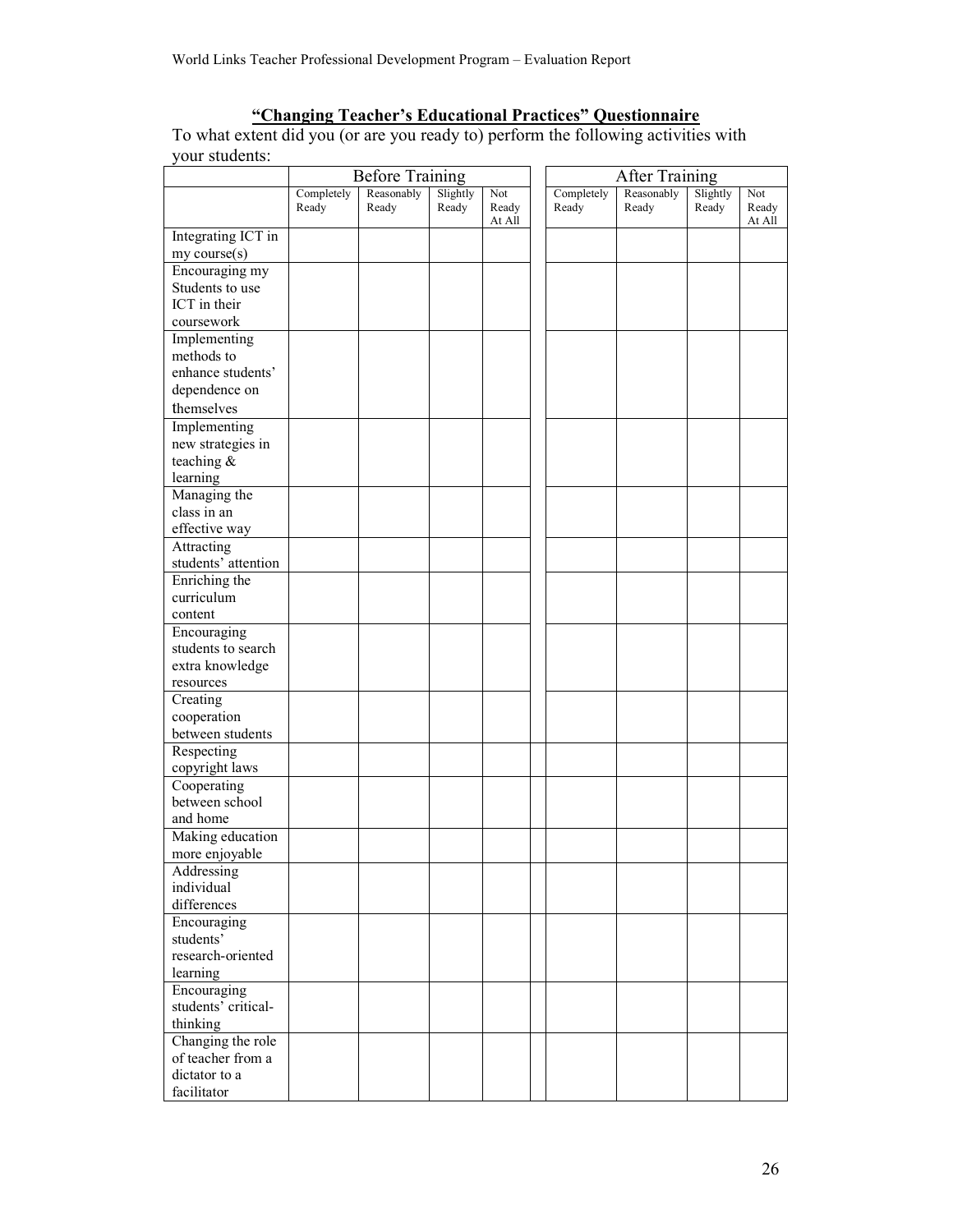"Changing Teacher's Educational Practices" Questionnaire<br>To what extent did you (or are you ready to) perform the following activities with your students:

|                                   |            | <b>Before Training</b> |          |                 |            | <b>After Training</b> |          |                 |
|-----------------------------------|------------|------------------------|----------|-----------------|------------|-----------------------|----------|-----------------|
|                                   | Completely | Reasonably             | Slightly | Not             | Completely | Reasonably            | Slightly | Not             |
|                                   | Ready      | Ready                  | Ready    | Ready<br>At All | Ready      | Ready                 | Ready    | Ready<br>At All |
| Integrating ICT in                |            |                        |          |                 |            |                       |          |                 |
| my course(s)                      |            |                        |          |                 |            |                       |          |                 |
| Encouraging my                    |            |                        |          |                 |            |                       |          |                 |
| Students to use                   |            |                        |          |                 |            |                       |          |                 |
| ICT in their                      |            |                        |          |                 |            |                       |          |                 |
| coursework                        |            |                        |          |                 |            |                       |          |                 |
| Implementing                      |            |                        |          |                 |            |                       |          |                 |
| methods to                        |            |                        |          |                 |            |                       |          |                 |
| enhance students'                 |            |                        |          |                 |            |                       |          |                 |
| dependence on                     |            |                        |          |                 |            |                       |          |                 |
| themselves                        |            |                        |          |                 |            |                       |          |                 |
| Implementing                      |            |                        |          |                 |            |                       |          |                 |
| new strategies in                 |            |                        |          |                 |            |                       |          |                 |
| teaching &                        |            |                        |          |                 |            |                       |          |                 |
| learning                          |            |                        |          |                 |            |                       |          |                 |
| Managing the                      |            |                        |          |                 |            |                       |          |                 |
| class in an                       |            |                        |          |                 |            |                       |          |                 |
| effective way                     |            |                        |          |                 |            |                       |          |                 |
|                                   |            |                        |          |                 |            |                       |          |                 |
| Attracting<br>students' attention |            |                        |          |                 |            |                       |          |                 |
|                                   |            |                        |          |                 |            |                       |          |                 |
| Enriching the                     |            |                        |          |                 |            |                       |          |                 |
| curriculum                        |            |                        |          |                 |            |                       |          |                 |
| content                           |            |                        |          |                 |            |                       |          |                 |
| Encouraging                       |            |                        |          |                 |            |                       |          |                 |
| students to search                |            |                        |          |                 |            |                       |          |                 |
| extra knowledge                   |            |                        |          |                 |            |                       |          |                 |
| resources                         |            |                        |          |                 |            |                       |          |                 |
| Creating                          |            |                        |          |                 |            |                       |          |                 |
| cooperation                       |            |                        |          |                 |            |                       |          |                 |
| between students                  |            |                        |          |                 |            |                       |          |                 |
| Respecting                        |            |                        |          |                 |            |                       |          |                 |
| copyright laws                    |            |                        |          |                 |            |                       |          |                 |
| Cooperating                       |            |                        |          |                 |            |                       |          |                 |
| between school                    |            |                        |          |                 |            |                       |          |                 |
| and home                          |            |                        |          |                 |            |                       |          |                 |
| Making education                  |            |                        |          |                 |            |                       |          |                 |
| more enjoyable                    |            |                        |          |                 |            |                       |          |                 |
| Addressing                        |            |                        |          |                 |            |                       |          |                 |
| individual                        |            |                        |          |                 |            |                       |          |                 |
| differences                       |            |                        |          |                 |            |                       |          |                 |
| Encouraging                       |            |                        |          |                 |            |                       |          |                 |
| students'                         |            |                        |          |                 |            |                       |          |                 |
| research-oriented                 |            |                        |          |                 |            |                       |          |                 |
| learning                          |            |                        |          |                 |            |                       |          |                 |
| Encouraging                       |            |                        |          |                 |            |                       |          |                 |
| students' critical-               |            |                        |          |                 |            |                       |          |                 |
| thinking                          |            |                        |          |                 |            |                       |          |                 |
| Changing the role                 |            |                        |          |                 |            |                       |          |                 |
| of teacher from a                 |            |                        |          |                 |            |                       |          |                 |
| dictator to a                     |            |                        |          |                 |            |                       |          |                 |
| facilitator                       |            |                        |          |                 |            |                       |          |                 |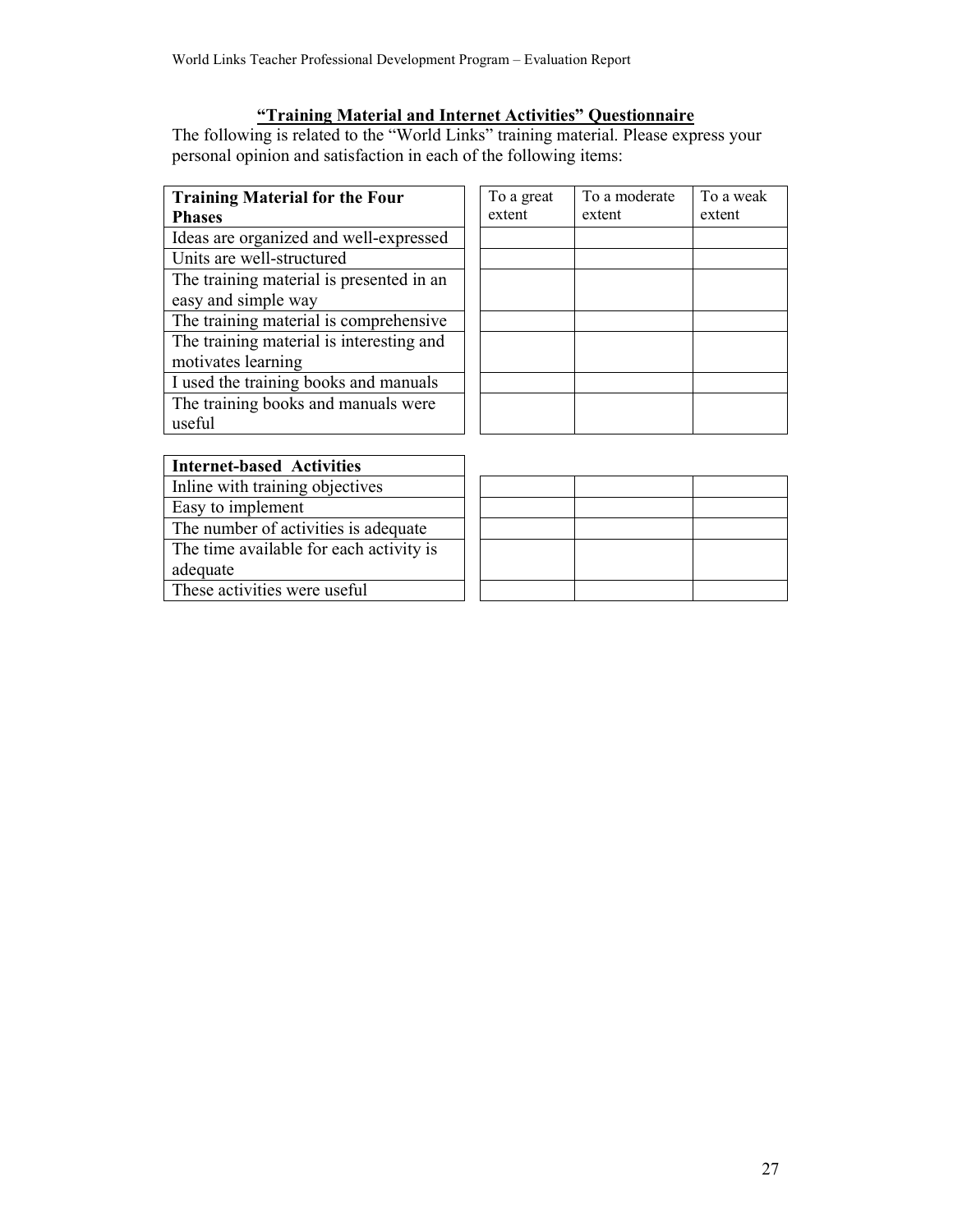### "Training Material and Internet Activities" Questionnaire

The following is related to the "World Links" training material. Please express your personal opinion and satisfaction in each of the following items:

| <b>Training Material for the Four</b><br><b>Phases</b> | To a great<br>extent | To a moderate<br>extent | To a weak<br>extent |
|--------------------------------------------------------|----------------------|-------------------------|---------------------|
| Ideas are organized and well-expressed                 |                      |                         |                     |
| Units are well-structured                              |                      |                         |                     |
| The training material is presented in an               |                      |                         |                     |
| easy and simple way                                    |                      |                         |                     |
| The training material is comprehensive                 |                      |                         |                     |
| The training material is interesting and               |                      |                         |                     |
| motivates learning                                     |                      |                         |                     |
| I used the training books and manuals                  |                      |                         |                     |
| The training books and manuals were                    |                      |                         |                     |
| useful                                                 |                      |                         |                     |
|                                                        |                      |                         |                     |
| <b>Internet-based Activities</b>                       |                      |                         |                     |
|                                                        |                      |                         |                     |

Inline with training objectives

Easy to implement

The number of activities is adequate

The time available for each activity is

adequate

These activities were useful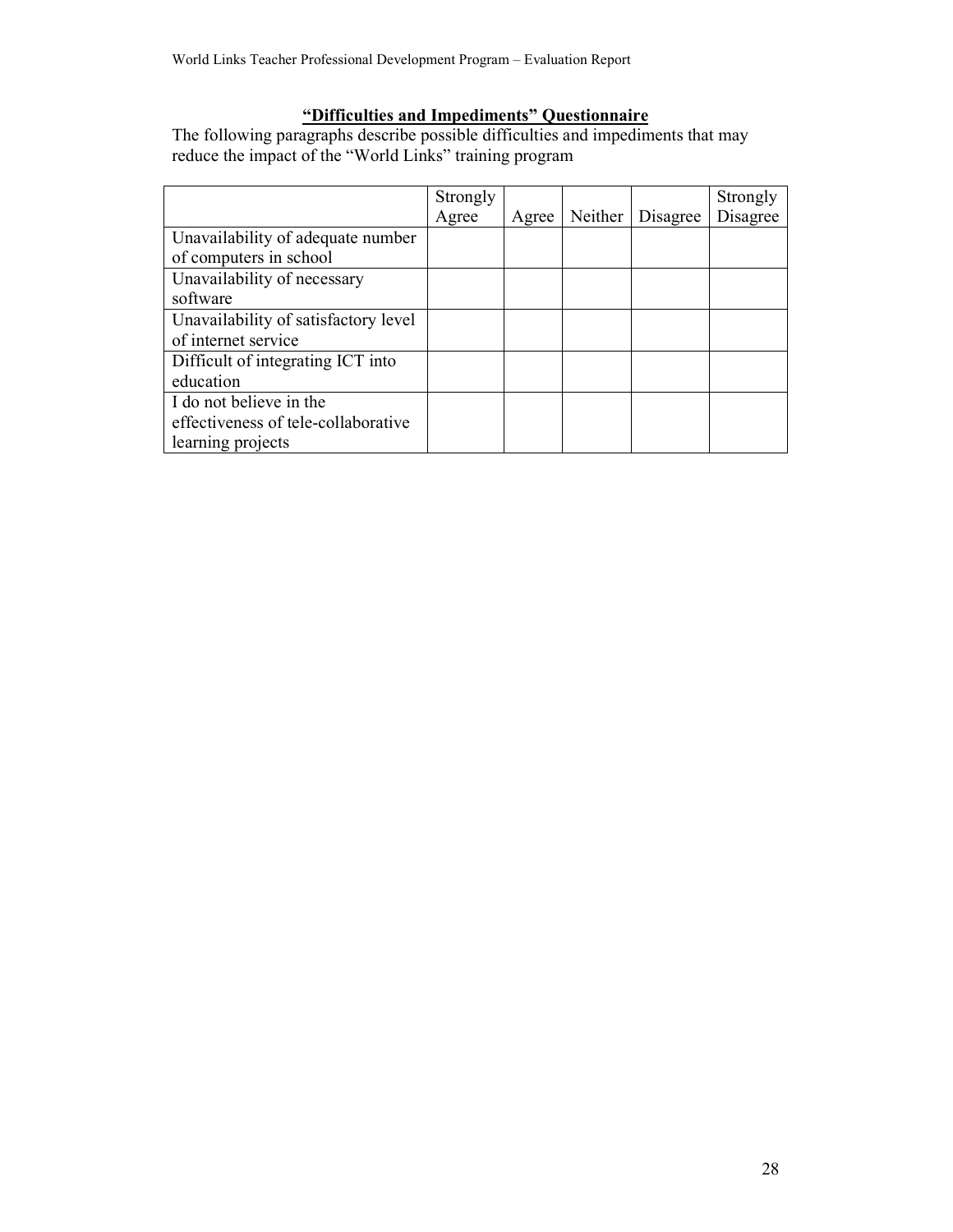"Difficulties and Impediments" Questionnaire<br>The following paragraphs describe possible difficulties and impediments that may reduce the impact of the "World Links" training program

|                                      | Strongly |       |         |          | Strongly |
|--------------------------------------|----------|-------|---------|----------|----------|
|                                      | Agree    | Agree | Neither | Disagree | Disagree |
| Unavailability of adequate number    |          |       |         |          |          |
| of computers in school               |          |       |         |          |          |
| Unavailability of necessary          |          |       |         |          |          |
| software                             |          |       |         |          |          |
| Unavailability of satisfactory level |          |       |         |          |          |
| of internet service                  |          |       |         |          |          |
| Difficult of integrating ICT into    |          |       |         |          |          |
| education                            |          |       |         |          |          |
| I do not believe in the              |          |       |         |          |          |
| effectiveness of tele-collaborative  |          |       |         |          |          |
| learning projects                    |          |       |         |          |          |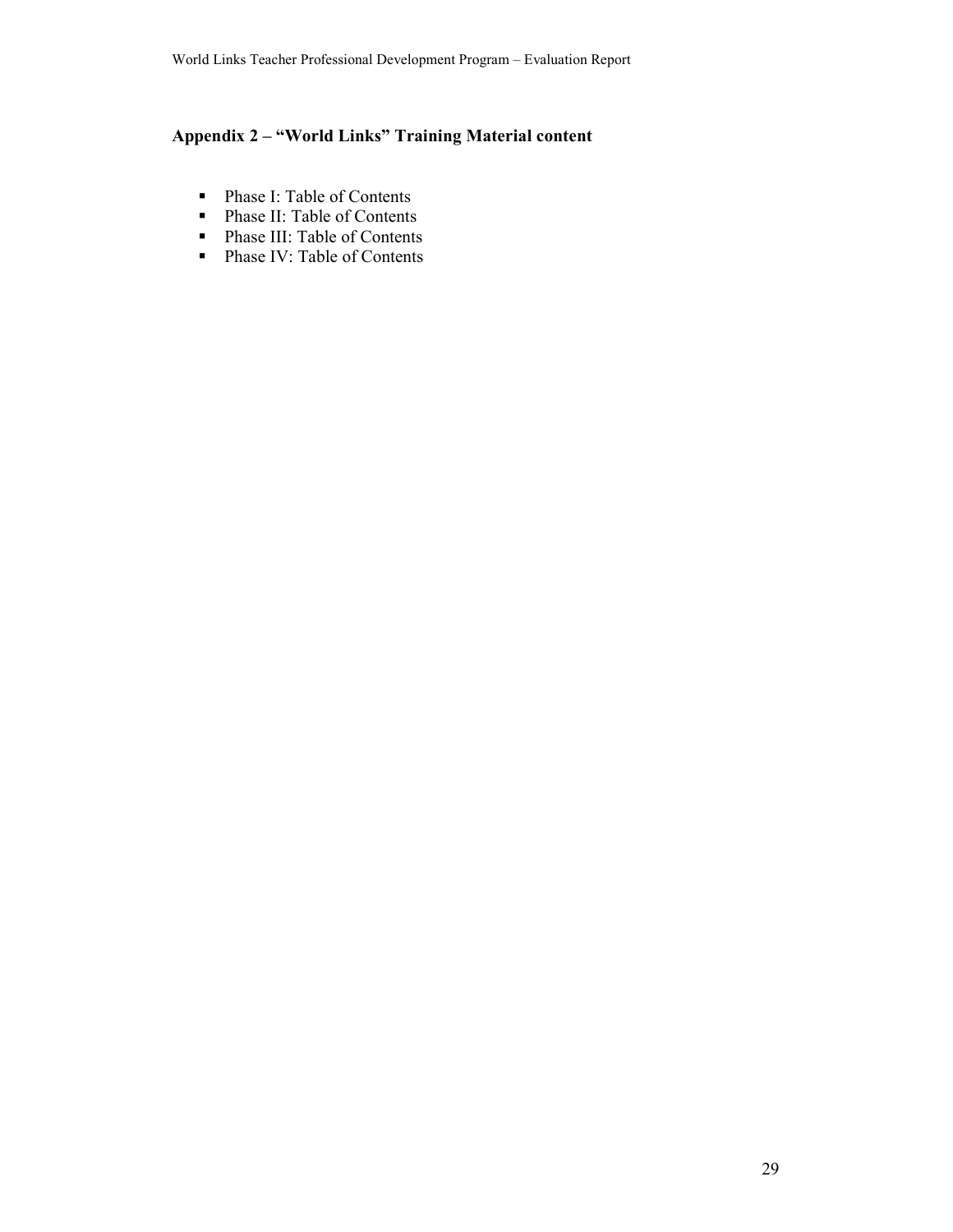## Appendix 2 - "World Links" Training Material content

- Phase I: Table of Contents
- Phase II: Table of Contents
- Phase III: Table of Contents
- Phase IV: Table of Contents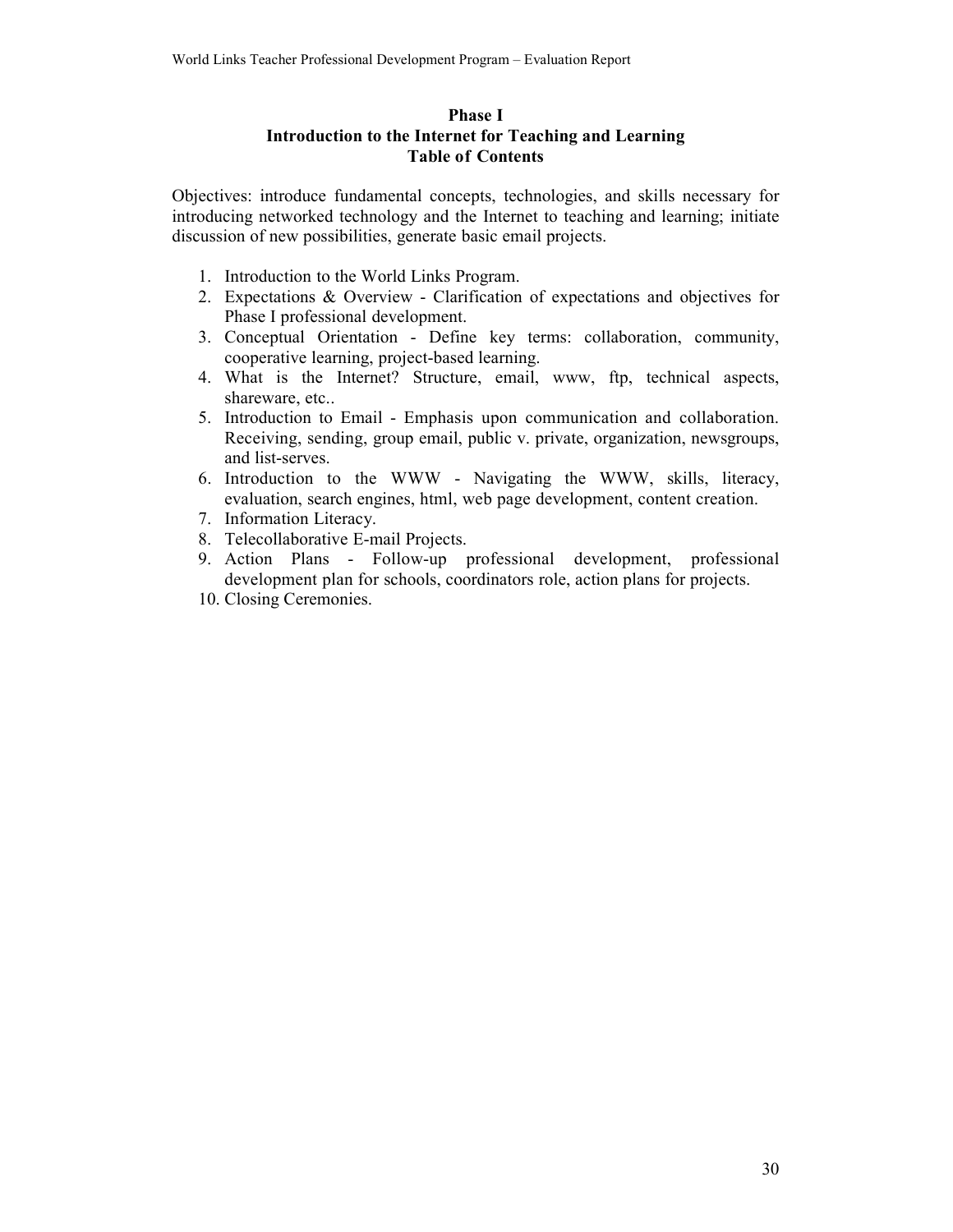### **Phase I** Introduction to the Internet for Teaching and Learning **Table of Contents**

Objectives: introduce fundamental concepts, technologies, and skills necessary for introducing networked technology and the Internet to teaching and learning; initiate discussion of new possibilities, generate basic email projects.

- 1. Introduction to the World Links Program.
- 2. Expectations & Overview Clarification of expectations and objectives for Phase I professional development.
- 3. Conceptual Orientation Define key terms: collaboration, community, cooperative learning, project-based learning.
- 4. What is the Internet? Structure, email, www, ftp, technical aspects, shareware, etc..
- 5. Introduction to Email Emphasis upon communication and collaboration. Receiving, sending, group email, public v. private, organization, newsgroups, and list-serves.
- 6. Introduction to the WWW Navigating the WWW, skills, literacy, evaluation, search engines, html, web page development, content creation.
- 7. Information Literacy.
- 8. Telecollaborative E-mail Projects.
- 9. Action Plans Follow-up professional development, professional development plan for schools, coordinators role, action plans for projects.
- 10. Closing Ceremonies.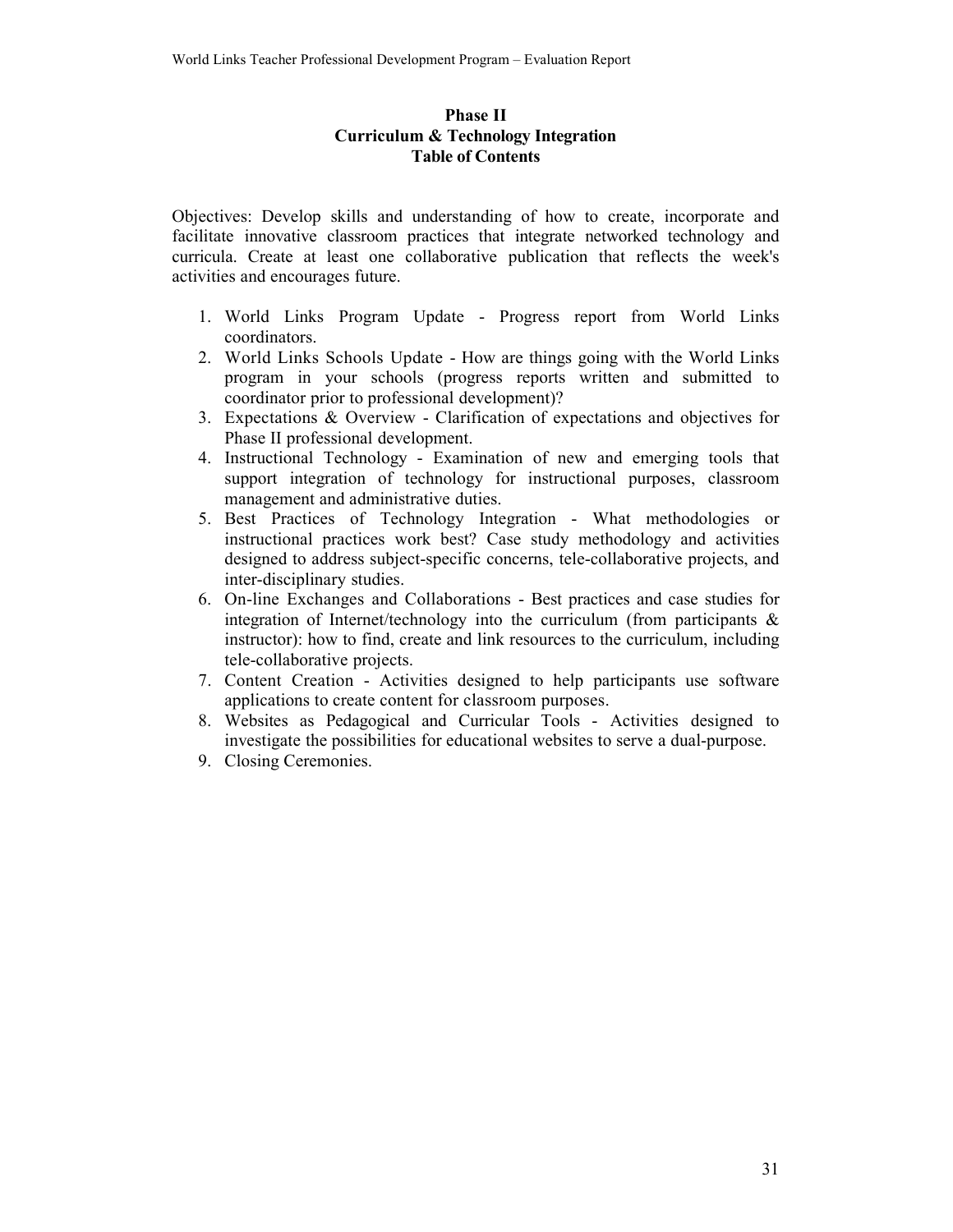### **Phase II Curriculum & Technology Integration Table of Contents**

Objectives: Develop skills and understanding of how to create, incorporate and facilitate innovative classroom practices that integrate networked technology and curricula. Create at least one collaborative publication that reflects the week's activities and encourages future.

- 1. World Links Program Update Progress report from World Links coordinators
- 2. World Links Schools Update How are things going with the World Links program in your schools (progress reports written and submitted to coordinator prior to professional development)?
- 3. Expectations  $\&$  Overview Clarification of expectations and objectives for Phase II professional development.
- 4. Instructional Technology Examination of new and emerging tools that support integration of technology for instructional purposes, classroom management and administrative duties.
- 5. Best Practices of Technology Integration What methodologies or instructional practices work best? Case study methodology and activities designed to address subject-specific concerns, tele-collaborative projects, and inter-disciplinary studies.
- 6. On-line Exchanges and Collaborations Best practices and case studies for integration of Internet/technology into the curriculum (from participants  $\&$ instructor): how to find, create and link resources to the curriculum, including tele-collaborative projects.
- 7. Content Creation Activities designed to help participants use software applications to create content for classroom purposes.
- 8. Websites as Pedagogical and Curricular Tools Activities designed to investigate the possibilities for educational websites to serve a dual-purpose.
- 9. Closing Ceremonies.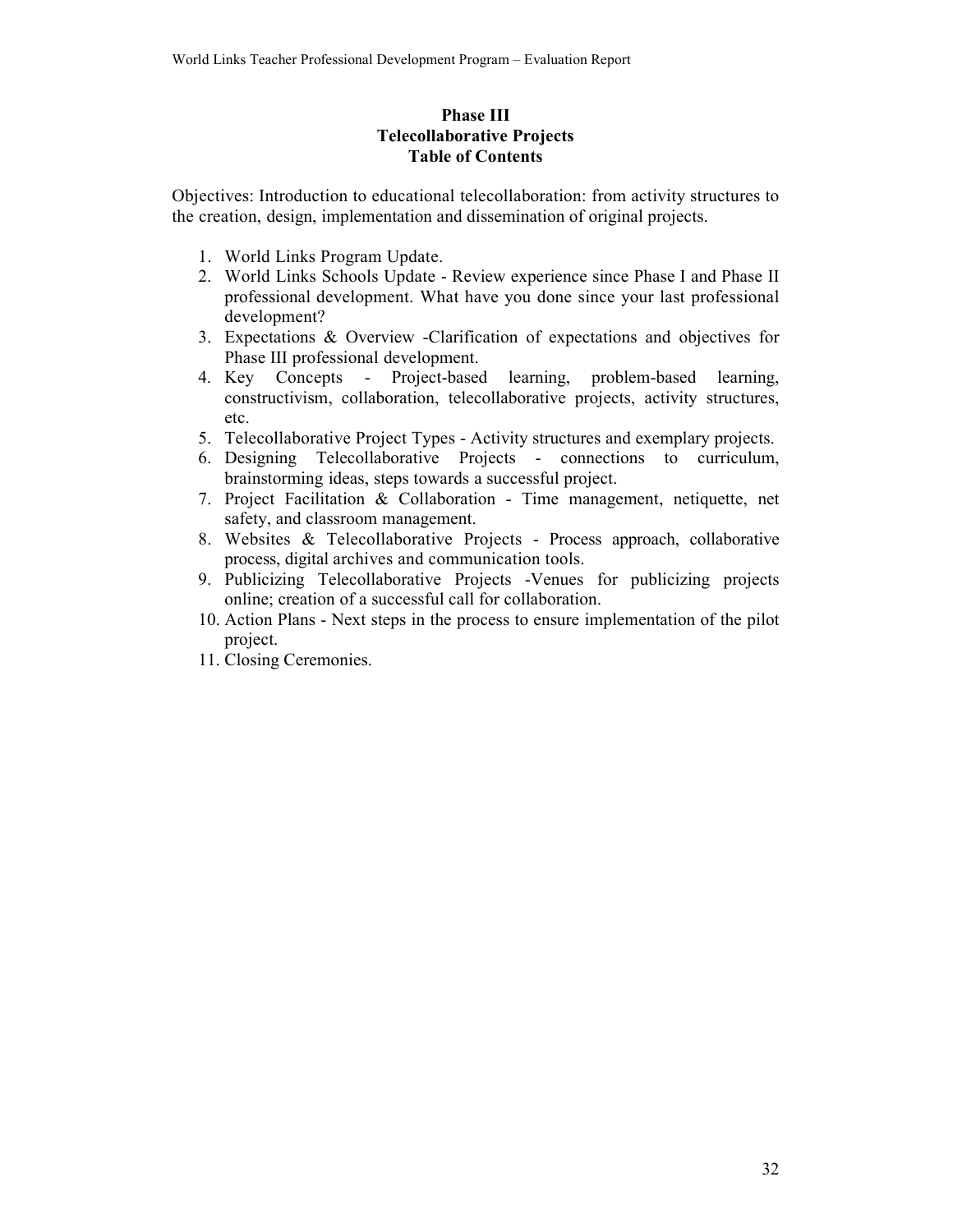### **Phase III Telecollaborative Projects Table of Contents**

Objectives: Introduction to educational telecollaboration: from activity structures to the creation, design, implementation and dissemination of original projects.

- 1. World Links Program Update.
- 2. World Links Schools Update Review experience since Phase I and Phase II professional development. What have you done since your last professional development?
- 3. Expectations & Overview -Clarification of expectations and objectives for Phase III professional development.
- 4. Key Concepts Project-based learning, problem-based learning. constructivism, collaboration, telecollaborative projects, activity structures, etc.
- 5. Telecollaborative Project Types Activity structures and exemplary projects.
- 6. Designing Telecollaborative Projects connections to curriculum, brainstorming ideas, steps towards a successful project.
- 7. Project Facilitation & Collaboration Time management, netiquette, net safety, and classroom management.
- 8. Websites & Telecollaborative Projects Process approach, collaborative process, digital archives and communication tools.
- 9. Publicizing Telecollaborative Projects -Venues for publicizing projects online; creation of a successful call for collaboration.
- 10. Action Plans Next steps in the process to ensure implementation of the pilot project.
- 11. Closing Ceremonies.